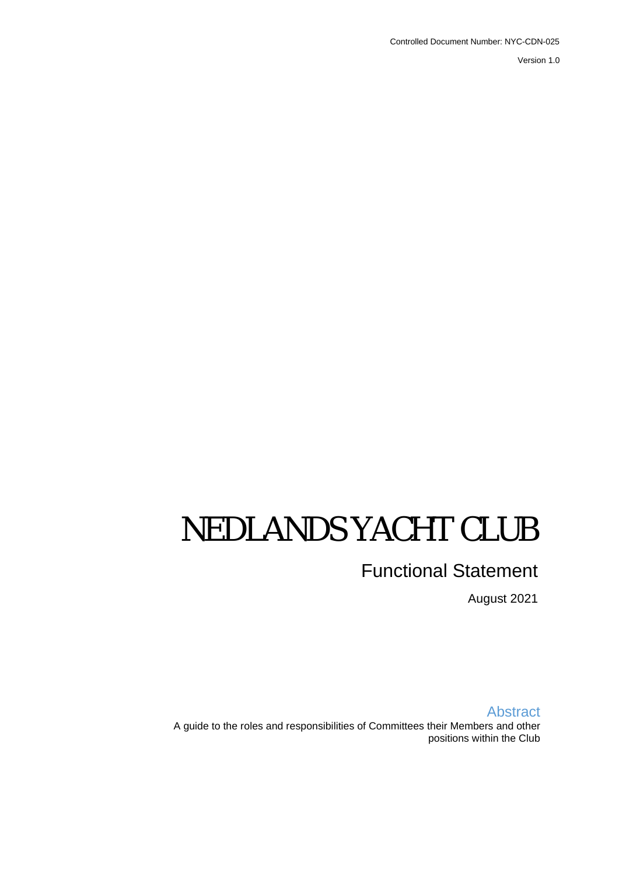Controlled Document Number: NYC-CDN-025

Version 1.0

# NEDLANDS YACHT CLUB

# Functional Statement

August 2021

Abstract A guide to the roles and responsibilities of Committees their Members and other positions within the Club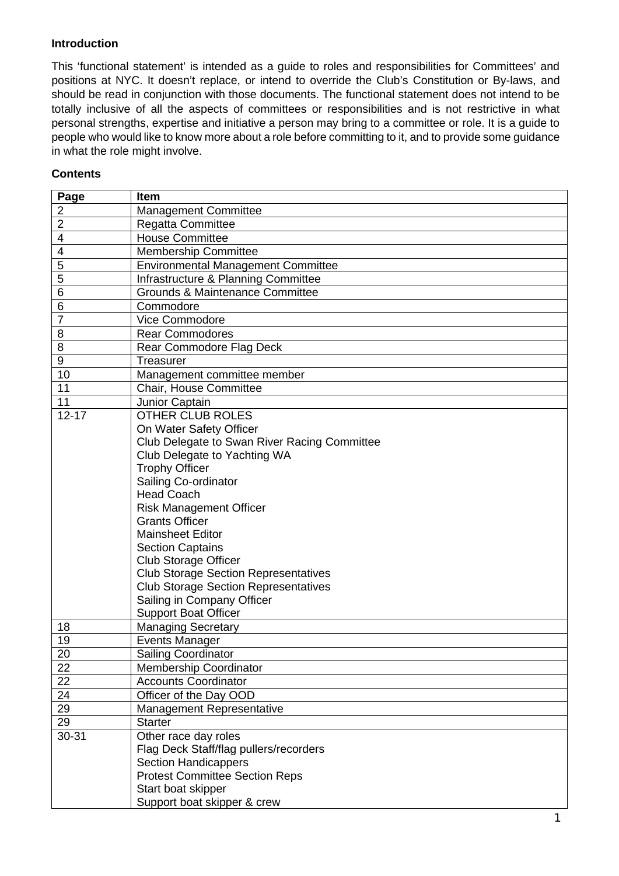#### **Introduction**

This 'functional statement' is intended as a guide to roles and responsibilities for Committees' and positions at NYC. It doesn't replace, or intend to override the Club's Constitution or By-laws, and should be read in conjunction with those documents. The functional statement does not intend to be totally inclusive of all the aspects of committees or responsibilities and is not restrictive in what personal strengths, expertise and initiative a person may bring to a committee or role. It is a guide to people who would like to know more about a role before committing to it, and to provide some guidance in what the role might involve.

#### **Contents**

| Page           | Item                                         |
|----------------|----------------------------------------------|
| $\overline{2}$ | <b>Management Committee</b>                  |
| $\overline{2}$ | Regatta Committee                            |
| 4              | <b>House Committee</b>                       |
| 4              | <b>Membership Committee</b>                  |
| 5              | <b>Environmental Management Committee</b>    |
| 5              | Infrastructure & Planning Committee          |
| 6              | <b>Grounds &amp; Maintenance Committee</b>   |
| 6              | Commodore                                    |
| $\overline{7}$ | Vice Commodore                               |
| 8              | <b>Rear Commodores</b>                       |
| 8              | Rear Commodore Flag Deck                     |
| 9              | <b>Treasurer</b>                             |
| 10             | Management committee member                  |
| 11             | Chair, House Committee                       |
| 11             | Junior Captain                               |
| $12 - 17$      | <b>OTHER CLUB ROLES</b>                      |
|                | On Water Safety Officer                      |
|                | Club Delegate to Swan River Racing Committee |
|                | Club Delegate to Yachting WA                 |
|                | <b>Trophy Officer</b>                        |
|                | Sailing Co-ordinator                         |
|                | <b>Head Coach</b>                            |
|                | <b>Risk Management Officer</b>               |
|                | <b>Grants Officer</b>                        |
|                | <b>Mainsheet Editor</b>                      |
|                | <b>Section Captains</b>                      |
|                | <b>Club Storage Officer</b>                  |
|                | <b>Club Storage Section Representatives</b>  |
|                | <b>Club Storage Section Representatives</b>  |
|                | Sailing in Company Officer                   |
|                | <b>Support Boat Officer</b>                  |
| 18             | <b>Managing Secretary</b>                    |
| 19             | <b>Events Manager</b>                        |
| 20             | <b>Sailing Coordinator</b>                   |
| 22             | <b>Membership Coordinator</b>                |
| 22             | <b>Accounts Coordinator</b>                  |
| 24             | Officer of the Day OOD                       |
| 29             | <b>Management Representative</b>             |
| 29             | <b>Starter</b>                               |
| 30-31          | Other race day roles                         |
|                | Flag Deck Staff/flag pullers/recorders       |
|                | <b>Section Handicappers</b>                  |
|                | <b>Protest Committee Section Reps</b>        |
|                | Start boat skipper                           |
|                | Support boat skipper & crew                  |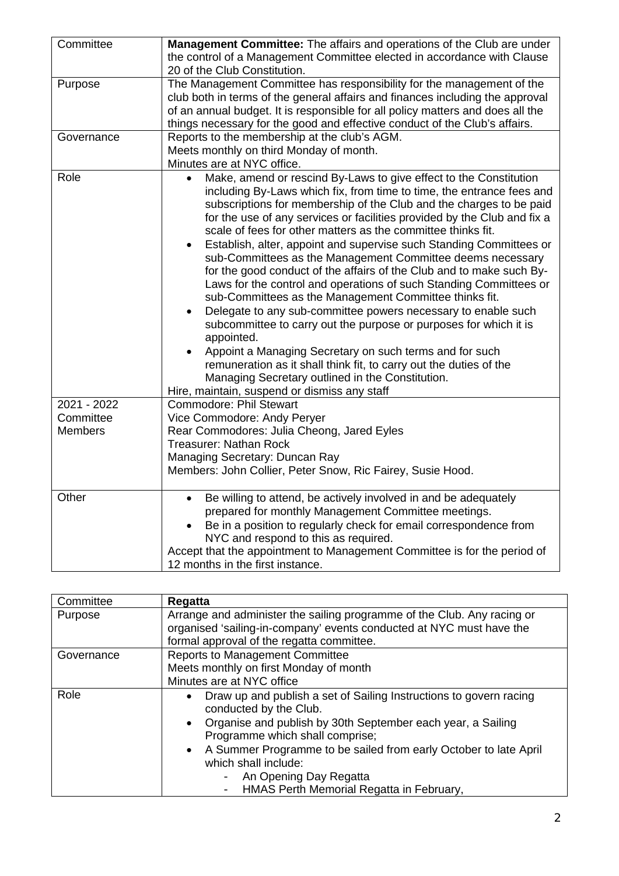| Committee                                  | Management Committee: The affairs and operations of the Club are under<br>the control of a Management Committee elected in accordance with Clause<br>20 of the Club Constitution.                                                                                                                                                                                                                                                                                                                                                                                                                                                                                                                                                                                                                                                                                                                                                                                                                                                                                                                                             |
|--------------------------------------------|-------------------------------------------------------------------------------------------------------------------------------------------------------------------------------------------------------------------------------------------------------------------------------------------------------------------------------------------------------------------------------------------------------------------------------------------------------------------------------------------------------------------------------------------------------------------------------------------------------------------------------------------------------------------------------------------------------------------------------------------------------------------------------------------------------------------------------------------------------------------------------------------------------------------------------------------------------------------------------------------------------------------------------------------------------------------------------------------------------------------------------|
| Purpose                                    | The Management Committee has responsibility for the management of the<br>club both in terms of the general affairs and finances including the approval<br>of an annual budget. It is responsible for all policy matters and does all the<br>things necessary for the good and effective conduct of the Club's affairs.                                                                                                                                                                                                                                                                                                                                                                                                                                                                                                                                                                                                                                                                                                                                                                                                        |
| Governance                                 | Reports to the membership at the club's AGM.<br>Meets monthly on third Monday of month.<br>Minutes are at NYC office.                                                                                                                                                                                                                                                                                                                                                                                                                                                                                                                                                                                                                                                                                                                                                                                                                                                                                                                                                                                                         |
| Role                                       | Make, amend or rescind By-Laws to give effect to the Constitution<br>including By-Laws which fix, from time to time, the entrance fees and<br>subscriptions for membership of the Club and the charges to be paid<br>for the use of any services or facilities provided by the Club and fix a<br>scale of fees for other matters as the committee thinks fit.<br>Establish, alter, appoint and supervise such Standing Committees or<br>$\bullet$<br>sub-Committees as the Management Committee deems necessary<br>for the good conduct of the affairs of the Club and to make such By-<br>Laws for the control and operations of such Standing Committees or<br>sub-Committees as the Management Committee thinks fit.<br>Delegate to any sub-committee powers necessary to enable such<br>$\bullet$<br>subcommittee to carry out the purpose or purposes for which it is<br>appointed.<br>Appoint a Managing Secretary on such terms and for such<br>remuneration as it shall think fit, to carry out the duties of the<br>Managing Secretary outlined in the Constitution.<br>Hire, maintain, suspend or dismiss any staff |
| 2021 - 2022<br>Committee<br><b>Members</b> | <b>Commodore: Phil Stewart</b><br>Vice Commodore: Andy Peryer<br>Rear Commodores: Julia Cheong, Jared Eyles<br><b>Treasurer: Nathan Rock</b><br>Managing Secretary: Duncan Ray<br>Members: John Collier, Peter Snow, Ric Fairey, Susie Hood.                                                                                                                                                                                                                                                                                                                                                                                                                                                                                                                                                                                                                                                                                                                                                                                                                                                                                  |
| Other                                      | Be willing to attend, be actively involved in and be adequately<br>$\bullet$<br>prepared for monthly Management Committee meetings.<br>Be in a position to regularly check for email correspondence from<br>NYC and respond to this as required.<br>Accept that the appointment to Management Committee is for the period of<br>12 months in the first instance.                                                                                                                                                                                                                                                                                                                                                                                                                                                                                                                                                                                                                                                                                                                                                              |

| Committee  | Regatta                                                                                                                                                                                                                                                                                                                                                                                                                |
|------------|------------------------------------------------------------------------------------------------------------------------------------------------------------------------------------------------------------------------------------------------------------------------------------------------------------------------------------------------------------------------------------------------------------------------|
| Purpose    | Arrange and administer the sailing programme of the Club. Any racing or<br>organised 'sailing-in-company' events conducted at NYC must have the<br>formal approval of the regatta committee.                                                                                                                                                                                                                           |
| Governance | <b>Reports to Management Committee</b><br>Meets monthly on first Monday of month<br>Minutes are at NYC office                                                                                                                                                                                                                                                                                                          |
| Role       | Draw up and publish a set of Sailing Instructions to govern racing<br>conducted by the Club.<br>Organise and publish by 30th September each year, a Sailing<br>$\bullet$<br>Programme which shall comprise;<br>A Summer Programme to be sailed from early October to late April<br>$\bullet$<br>which shall include:<br>An Opening Day Regatta<br>$\overline{\phantom{0}}$<br>HMAS Perth Memorial Regatta in February, |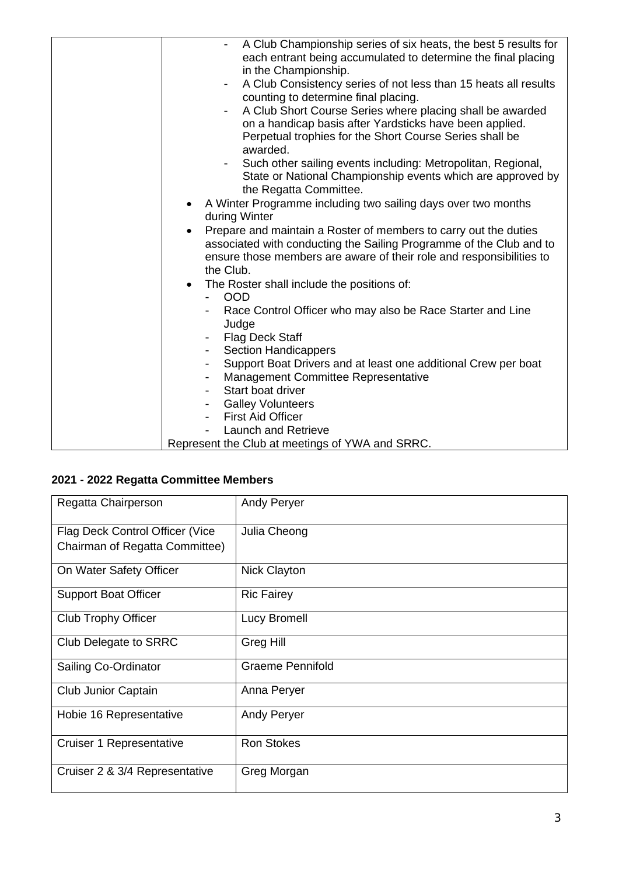| A Club Championship series of six heats, the best 5 results for<br>each entrant being accumulated to determine the final placing<br>in the Championship.<br>A Club Consistency series of not less than 15 heats all results<br>$\overline{\phantom{a}}$<br>counting to determine final placing.<br>A Club Short Course Series where placing shall be awarded<br>$\overline{\phantom{a}}$<br>on a handicap basis after Yardsticks have been applied.<br>Perpetual trophies for the Short Course Series shall be |
|----------------------------------------------------------------------------------------------------------------------------------------------------------------------------------------------------------------------------------------------------------------------------------------------------------------------------------------------------------------------------------------------------------------------------------------------------------------------------------------------------------------|
| awarded.                                                                                                                                                                                                                                                                                                                                                                                                                                                                                                       |
| Such other sailing events including: Metropolitan, Regional,<br>$\blacksquare$<br>State or National Championship events which are approved by<br>the Regatta Committee.                                                                                                                                                                                                                                                                                                                                        |
| A Winter Programme including two sailing days over two months<br>$\bullet$<br>during Winter                                                                                                                                                                                                                                                                                                                                                                                                                    |
| Prepare and maintain a Roster of members to carry out the duties<br>$\bullet$<br>associated with conducting the Sailing Programme of the Club and to<br>ensure those members are aware of their role and responsibilities to<br>the Club.                                                                                                                                                                                                                                                                      |
| The Roster shall include the positions of:<br>$\bullet$<br><b>OOD</b>                                                                                                                                                                                                                                                                                                                                                                                                                                          |
| Race Control Officer who may also be Race Starter and Line<br>Judge                                                                                                                                                                                                                                                                                                                                                                                                                                            |
| <b>Flag Deck Staff</b>                                                                                                                                                                                                                                                                                                                                                                                                                                                                                         |
| <b>Section Handicappers</b><br>$\overline{\phantom{a}}$                                                                                                                                                                                                                                                                                                                                                                                                                                                        |
| Support Boat Drivers and at least one additional Crew per boat                                                                                                                                                                                                                                                                                                                                                                                                                                                 |
| Management Committee Representative<br>Start boat driver                                                                                                                                                                                                                                                                                                                                                                                                                                                       |
| <b>Galley Volunteers</b>                                                                                                                                                                                                                                                                                                                                                                                                                                                                                       |
| <b>First Aid Officer</b>                                                                                                                                                                                                                                                                                                                                                                                                                                                                                       |
| <b>Launch and Retrieve</b>                                                                                                                                                                                                                                                                                                                                                                                                                                                                                     |
| Represent the Club at meetings of YWA and SRRC.                                                                                                                                                                                                                                                                                                                                                                                                                                                                |

## **2021 - 2022 Regatta Committee Members**

| Regatta Chairperson             | <b>Andy Peryer</b>      |
|---------------------------------|-------------------------|
| Flag Deck Control Officer (Vice | Julia Cheong            |
| Chairman of Regatta Committee)  |                         |
| On Water Safety Officer         | <b>Nick Clayton</b>     |
| <b>Support Boat Officer</b>     | <b>Ric Fairey</b>       |
| <b>Club Trophy Officer</b>      | Lucy Bromell            |
| Club Delegate to SRRC           | <b>Greg Hill</b>        |
| Sailing Co-Ordinator            | <b>Graeme Pennifold</b> |
| <b>Club Junior Captain</b>      | Anna Peryer             |
| Hobie 16 Representative         | Andy Peryer             |
| Cruiser 1 Representative        | <b>Ron Stokes</b>       |
| Cruiser 2 & 3/4 Representative  | Greg Morgan             |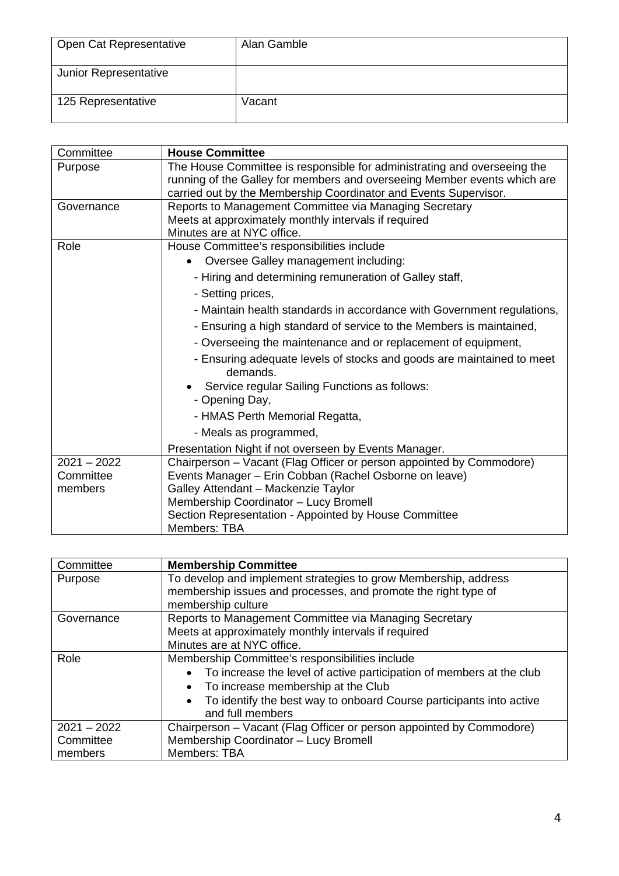| Open Cat Representative | Alan Gamble |
|-------------------------|-------------|
| Junior Representative   |             |
| 125 Representative      | Vacant      |

| Committee     | <b>House Committee</b>                                                            |
|---------------|-----------------------------------------------------------------------------------|
| Purpose       | The House Committee is responsible for administrating and overseeing the          |
|               | running of the Galley for members and overseeing Member events which are          |
|               | carried out by the Membership Coordinator and Events Supervisor.                  |
| Governance    | Reports to Management Committee via Managing Secretary                            |
|               | Meets at approximately monthly intervals if required                              |
|               | Minutes are at NYC office.                                                        |
| Role          | House Committee's responsibilities include                                        |
|               | Oversee Galley management including:                                              |
|               | - Hiring and determining remuneration of Galley staff,                            |
|               | - Setting prices,                                                                 |
|               | - Maintain health standards in accordance with Government regulations,            |
|               | - Ensuring a high standard of service to the Members is maintained,               |
|               | - Overseeing the maintenance and or replacement of equipment,                     |
|               | - Ensuring adequate levels of stocks and goods are maintained to meet<br>demands. |
|               | Service regular Sailing Functions as follows:                                     |
|               | - Opening Day,                                                                    |
|               | - HMAS Perth Memorial Regatta,                                                    |
|               | - Meals as programmed,                                                            |
|               | Presentation Night if not overseen by Events Manager.                             |
| $2021 - 2022$ | Chairperson - Vacant (Flag Officer or person appointed by Commodore)              |
| Committee     | Events Manager - Erin Cobban (Rachel Osborne on leave)                            |
| members       | Galley Attendant - Mackenzie Taylor                                               |
|               | Membership Coordinator - Lucy Bromell                                             |
|               | Section Representation - Appointed by House Committee                             |
|               | Members: TBA                                                                      |

| Committee     | <b>Membership Committee</b>                                                                                                                             |
|---------------|---------------------------------------------------------------------------------------------------------------------------------------------------------|
| Purpose       | To develop and implement strategies to grow Membership, address<br>membership issues and processes, and promote the right type of<br>membership culture |
| Governance    | Reports to Management Committee via Managing Secretary                                                                                                  |
|               | Meets at approximately monthly intervals if required                                                                                                    |
|               | Minutes are at NYC office.                                                                                                                              |
| Role          | Membership Committee's responsibilities include                                                                                                         |
|               | To increase the level of active participation of members at the club<br>To increase membership at the Club                                              |
|               | To identify the best way to onboard Course participants into active<br>and full members                                                                 |
| $2021 - 2022$ | Chairperson – Vacant (Flag Officer or person appointed by Commodore)                                                                                    |
| Committee     | Membership Coordinator - Lucy Bromell                                                                                                                   |
| members       | Members: TBA                                                                                                                                            |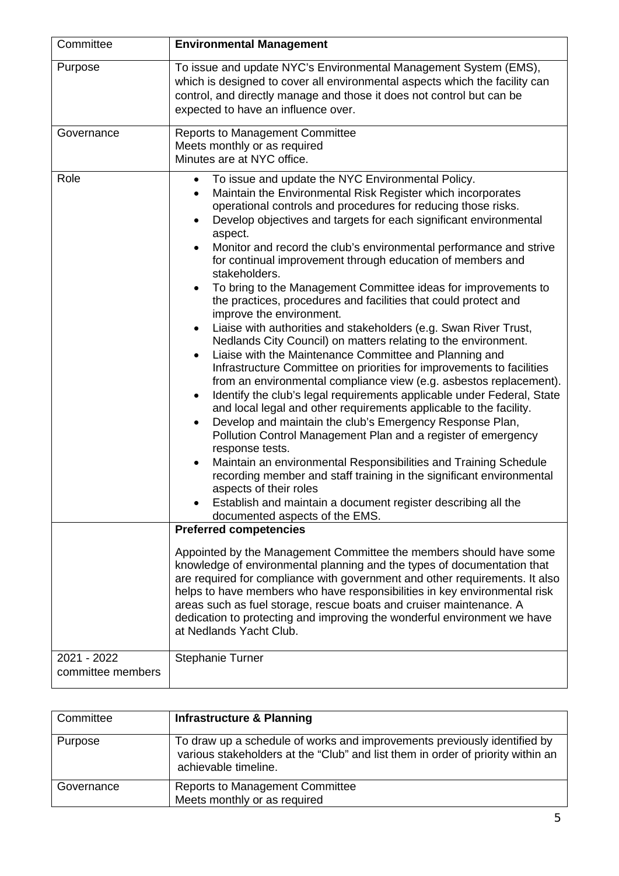| Committee                        | <b>Environmental Management</b>                                                                                                                                                                                                                                                                                                                                                                                                                                                                                                                                                                                                                                                                                                                                                                                                                                                                                                                                                                                                                                                                                                                                                                                                                                                                                                                                                                                                                                                                                                                                                                                                                                                                                                                                                                                                                                                                                                                                                                                                                               |
|----------------------------------|---------------------------------------------------------------------------------------------------------------------------------------------------------------------------------------------------------------------------------------------------------------------------------------------------------------------------------------------------------------------------------------------------------------------------------------------------------------------------------------------------------------------------------------------------------------------------------------------------------------------------------------------------------------------------------------------------------------------------------------------------------------------------------------------------------------------------------------------------------------------------------------------------------------------------------------------------------------------------------------------------------------------------------------------------------------------------------------------------------------------------------------------------------------------------------------------------------------------------------------------------------------------------------------------------------------------------------------------------------------------------------------------------------------------------------------------------------------------------------------------------------------------------------------------------------------------------------------------------------------------------------------------------------------------------------------------------------------------------------------------------------------------------------------------------------------------------------------------------------------------------------------------------------------------------------------------------------------------------------------------------------------------------------------------------------------|
| Purpose                          | To issue and update NYC's Environmental Management System (EMS),<br>which is designed to cover all environmental aspects which the facility can<br>control, and directly manage and those it does not control but can be<br>expected to have an influence over.                                                                                                                                                                                                                                                                                                                                                                                                                                                                                                                                                                                                                                                                                                                                                                                                                                                                                                                                                                                                                                                                                                                                                                                                                                                                                                                                                                                                                                                                                                                                                                                                                                                                                                                                                                                               |
| Governance                       | <b>Reports to Management Committee</b><br>Meets monthly or as required<br>Minutes are at NYC office.                                                                                                                                                                                                                                                                                                                                                                                                                                                                                                                                                                                                                                                                                                                                                                                                                                                                                                                                                                                                                                                                                                                                                                                                                                                                                                                                                                                                                                                                                                                                                                                                                                                                                                                                                                                                                                                                                                                                                          |
| Role                             | To issue and update the NYC Environmental Policy.<br>Maintain the Environmental Risk Register which incorporates<br>operational controls and procedures for reducing those risks.<br>Develop objectives and targets for each significant environmental<br>aspect.<br>Monitor and record the club's environmental performance and strive<br>for continual improvement through education of members and<br>stakeholders.<br>To bring to the Management Committee ideas for improvements to<br>the practices, procedures and facilities that could protect and<br>improve the environment.<br>Liaise with authorities and stakeholders (e.g. Swan River Trust,<br>Nedlands City Council) on matters relating to the environment.<br>Liaise with the Maintenance Committee and Planning and<br>$\bullet$<br>Infrastructure Committee on priorities for improvements to facilities<br>from an environmental compliance view (e.g. asbestos replacement).<br>Identify the club's legal requirements applicable under Federal, State<br>and local legal and other requirements applicable to the facility.<br>Develop and maintain the club's Emergency Response Plan,<br>٠<br>Pollution Control Management Plan and a register of emergency<br>response tests.<br>Maintain an environmental Responsibilities and Training Schedule<br>recording member and staff training in the significant environmental<br>aspects of their roles<br>Establish and maintain a document register describing all the<br>documented aspects of the EMS.<br><b>Preferred competencies</b><br>Appointed by the Management Committee the members should have some<br>knowledge of environmental planning and the types of documentation that<br>are required for compliance with government and other requirements. It also<br>helps to have members who have responsibilities in key environmental risk<br>areas such as fuel storage, rescue boats and cruiser maintenance. A<br>dedication to protecting and improving the wonderful environment we have<br>at Nedlands Yacht Club. |
| 2021 - 2022<br>committee members | <b>Stephanie Turner</b>                                                                                                                                                                                                                                                                                                                                                                                                                                                                                                                                                                                                                                                                                                                                                                                                                                                                                                                                                                                                                                                                                                                                                                                                                                                                                                                                                                                                                                                                                                                                                                                                                                                                                                                                                                                                                                                                                                                                                                                                                                       |

| Committee  | <b>Infrastructure &amp; Planning</b>                                                                                                                                                |
|------------|-------------------------------------------------------------------------------------------------------------------------------------------------------------------------------------|
| Purpose    | To draw up a schedule of works and improvements previously identified by<br>various stakeholders at the "Club" and list them in order of priority within an<br>achievable timeline. |
| Governance | <b>Reports to Management Committee</b><br>Meets monthly or as required                                                                                                              |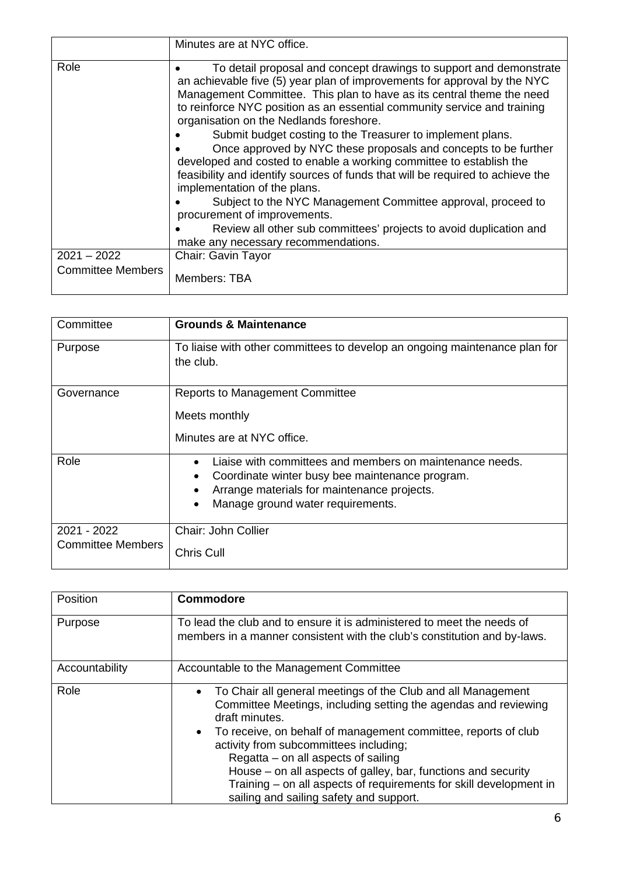|                                           | Minutes are at NYC office.                                                                                                                                                                                                                                                                                                                                                                                                                                                                                                                                                                                                                                                                                                                                                                                                                                                            |
|-------------------------------------------|---------------------------------------------------------------------------------------------------------------------------------------------------------------------------------------------------------------------------------------------------------------------------------------------------------------------------------------------------------------------------------------------------------------------------------------------------------------------------------------------------------------------------------------------------------------------------------------------------------------------------------------------------------------------------------------------------------------------------------------------------------------------------------------------------------------------------------------------------------------------------------------|
| Role                                      | To detail proposal and concept drawings to support and demonstrate<br>an achievable five (5) year plan of improvements for approval by the NYC<br>Management Committee. This plan to have as its central theme the need<br>to reinforce NYC position as an essential community service and training<br>organisation on the Nedlands foreshore.<br>Submit budget costing to the Treasurer to implement plans.<br>Once approved by NYC these proposals and concepts to be further<br>developed and costed to enable a working committee to establish the<br>feasibility and identify sources of funds that will be required to achieve the<br>implementation of the plans.<br>Subject to the NYC Management Committee approval, proceed to<br>procurement of improvements.<br>Review all other sub committees' projects to avoid duplication and<br>make any necessary recommendations. |
| $2021 - 2022$<br><b>Committee Members</b> | Chair: Gavin Tayor<br>Members: TBA                                                                                                                                                                                                                                                                                                                                                                                                                                                                                                                                                                                                                                                                                                                                                                                                                                                    |
|                                           |                                                                                                                                                                                                                                                                                                                                                                                                                                                                                                                                                                                                                                                                                                                                                                                                                                                                                       |

| Committee                | <b>Grounds &amp; Maintenance</b>                                                        |
|--------------------------|-----------------------------------------------------------------------------------------|
| Purpose                  | To liaise with other committees to develop an ongoing maintenance plan for<br>the club. |
| Governance               | <b>Reports to Management Committee</b>                                                  |
|                          | Meets monthly                                                                           |
|                          | Minutes are at NYC office.                                                              |
| Role                     | Liaise with committees and members on maintenance needs.                                |
|                          | Coordinate winter busy bee maintenance program.                                         |
|                          | Arrange materials for maintenance projects.                                             |
|                          | Manage ground water requirements.                                                       |
| 2021 - 2022              | Chair: John Collier                                                                     |
| <b>Committee Members</b> | <b>Chris Cull</b>                                                                       |

| Position       | <b>Commodore</b>                                                                                                                                                                                                                                                                                                                                                                                                                                                                                      |
|----------------|-------------------------------------------------------------------------------------------------------------------------------------------------------------------------------------------------------------------------------------------------------------------------------------------------------------------------------------------------------------------------------------------------------------------------------------------------------------------------------------------------------|
| Purpose        | To lead the club and to ensure it is administered to meet the needs of<br>members in a manner consistent with the club's constitution and by-laws.                                                                                                                                                                                                                                                                                                                                                    |
| Accountability | Accountable to the Management Committee                                                                                                                                                                                                                                                                                                                                                                                                                                                               |
| Role           | To Chair all general meetings of the Club and all Management<br>$\bullet$<br>Committee Meetings, including setting the agendas and reviewing<br>draft minutes.<br>• To receive, on behalf of management committee, reports of club<br>activity from subcommittees including;<br>Regatta – on all aspects of sailing<br>House – on all aspects of galley, bar, functions and security<br>Training - on all aspects of requirements for skill development in<br>sailing and sailing safety and support. |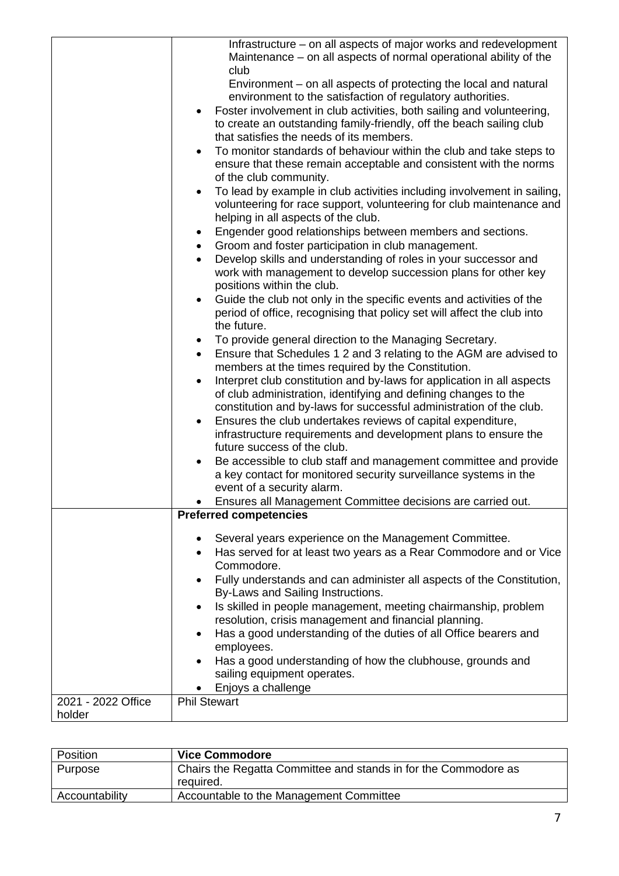|                    | Infrastructure – on all aspects of major works and redevelopment                                                               |
|--------------------|--------------------------------------------------------------------------------------------------------------------------------|
|                    | Maintenance – on all aspects of normal operational ability of the                                                              |
|                    | club                                                                                                                           |
|                    | Environment – on all aspects of protecting the local and natural<br>environment to the satisfaction of regulatory authorities. |
|                    | Foster involvement in club activities, both sailing and volunteering,                                                          |
|                    | to create an outstanding family-friendly, off the beach sailing club                                                           |
|                    | that satisfies the needs of its members.                                                                                       |
|                    | To monitor standards of behaviour within the club and take steps to                                                            |
|                    | ensure that these remain acceptable and consistent with the norms                                                              |
|                    | of the club community.                                                                                                         |
|                    | To lead by example in club activities including involvement in sailing,                                                        |
|                    | volunteering for race support, volunteering for club maintenance and                                                           |
|                    | helping in all aspects of the club.                                                                                            |
|                    | Engender good relationships between members and sections.<br>٠                                                                 |
|                    | Groom and foster participation in club management.<br>٠                                                                        |
|                    | Develop skills and understanding of roles in your successor and                                                                |
|                    | work with management to develop succession plans for other key                                                                 |
|                    | positions within the club.                                                                                                     |
|                    | Guide the club not only in the specific events and activities of the                                                           |
|                    | period of office, recognising that policy set will affect the club into<br>the future.                                         |
|                    | To provide general direction to the Managing Secretary.<br>$\bullet$                                                           |
|                    | Ensure that Schedules 1 2 and 3 relating to the AGM are advised to<br>$\bullet$                                                |
|                    | members at the times required by the Constitution.                                                                             |
|                    | Interpret club constitution and by-laws for application in all aspects                                                         |
|                    | of club administration, identifying and defining changes to the                                                                |
|                    | constitution and by-laws for successful administration of the club.                                                            |
|                    | Ensures the club undertakes reviews of capital expenditure,<br>$\bullet$                                                       |
|                    | infrastructure requirements and development plans to ensure the                                                                |
|                    | future success of the club.                                                                                                    |
|                    | Be accessible to club staff and management committee and provide                                                               |
|                    | a key contact for monitored security surveillance systems in the<br>event of a security alarm.                                 |
|                    | Ensures all Management Committee decisions are carried out.                                                                    |
|                    | <b>Preferred competencies</b>                                                                                                  |
|                    |                                                                                                                                |
|                    | Several years experience on the Management Committee.                                                                          |
|                    | Has served for at least two years as a Rear Commodore and or Vice<br>٠                                                         |
|                    | Commodore.                                                                                                                     |
|                    | Fully understands and can administer all aspects of the Constitution,<br>By-Laws and Sailing Instructions.                     |
|                    | Is skilled in people management, meeting chairmanship, problem                                                                 |
|                    | resolution, crisis management and financial planning.                                                                          |
|                    | Has a good understanding of the duties of all Office bearers and<br>٠                                                          |
|                    | employees.                                                                                                                     |
|                    | Has a good understanding of how the clubhouse, grounds and                                                                     |
|                    | sailing equipment operates.                                                                                                    |
|                    | Enjoys a challenge                                                                                                             |
| 2021 - 2022 Office | <b>Phil Stewart</b>                                                                                                            |
| holder             |                                                                                                                                |

| <b>Position</b> | <b>Vice Commodore</b>                                           |
|-----------------|-----------------------------------------------------------------|
| Purpose         | Chairs the Regatta Committee and stands in for the Commodore as |
|                 | reauired.                                                       |
| Accountability  | Accountable to the Management Committee                         |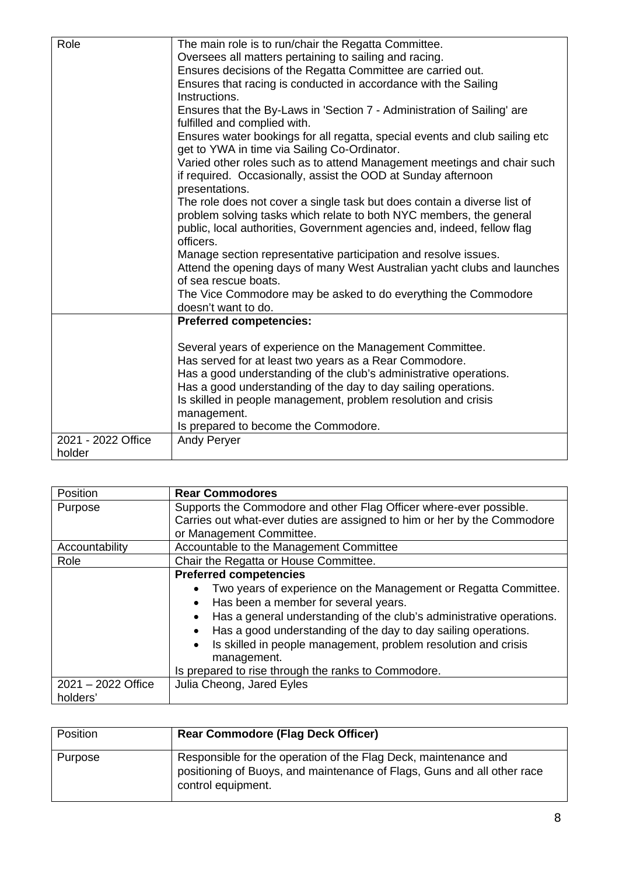| Role<br>The main role is to run/chair the Regatta Committee.<br>Oversees all matters pertaining to sailing and racing.<br>Ensures decisions of the Regatta Committee are carried out.<br>Ensures that racing is conducted in accordance with the Sailing<br>Instructions.<br>Ensures that the By-Laws in 'Section 7 - Administration of Sailing' are<br>fulfilled and complied with.<br>Ensures water bookings for all regatta, special events and club sailing etc<br>get to YWA in time via Sailing Co-Ordinator.<br>Varied other roles such as to attend Management meetings and chair such |  |
|------------------------------------------------------------------------------------------------------------------------------------------------------------------------------------------------------------------------------------------------------------------------------------------------------------------------------------------------------------------------------------------------------------------------------------------------------------------------------------------------------------------------------------------------------------------------------------------------|--|
|                                                                                                                                                                                                                                                                                                                                                                                                                                                                                                                                                                                                |  |
|                                                                                                                                                                                                                                                                                                                                                                                                                                                                                                                                                                                                |  |
|                                                                                                                                                                                                                                                                                                                                                                                                                                                                                                                                                                                                |  |
|                                                                                                                                                                                                                                                                                                                                                                                                                                                                                                                                                                                                |  |
|                                                                                                                                                                                                                                                                                                                                                                                                                                                                                                                                                                                                |  |
|                                                                                                                                                                                                                                                                                                                                                                                                                                                                                                                                                                                                |  |
|                                                                                                                                                                                                                                                                                                                                                                                                                                                                                                                                                                                                |  |
|                                                                                                                                                                                                                                                                                                                                                                                                                                                                                                                                                                                                |  |
|                                                                                                                                                                                                                                                                                                                                                                                                                                                                                                                                                                                                |  |
| if required. Occasionally, assist the OOD at Sunday afternoon                                                                                                                                                                                                                                                                                                                                                                                                                                                                                                                                  |  |
| presentations.                                                                                                                                                                                                                                                                                                                                                                                                                                                                                                                                                                                 |  |
| The role does not cover a single task but does contain a diverse list of                                                                                                                                                                                                                                                                                                                                                                                                                                                                                                                       |  |
| problem solving tasks which relate to both NYC members, the general                                                                                                                                                                                                                                                                                                                                                                                                                                                                                                                            |  |
| public, local authorities, Government agencies and, indeed, fellow flag                                                                                                                                                                                                                                                                                                                                                                                                                                                                                                                        |  |
| officers.                                                                                                                                                                                                                                                                                                                                                                                                                                                                                                                                                                                      |  |
| Manage section representative participation and resolve issues.                                                                                                                                                                                                                                                                                                                                                                                                                                                                                                                                |  |
| Attend the opening days of many West Australian yacht clubs and launches<br>of sea rescue boats.                                                                                                                                                                                                                                                                                                                                                                                                                                                                                               |  |
| The Vice Commodore may be asked to do everything the Commodore                                                                                                                                                                                                                                                                                                                                                                                                                                                                                                                                 |  |
| doesn't want to do.                                                                                                                                                                                                                                                                                                                                                                                                                                                                                                                                                                            |  |
| <b>Preferred competencies:</b>                                                                                                                                                                                                                                                                                                                                                                                                                                                                                                                                                                 |  |
|                                                                                                                                                                                                                                                                                                                                                                                                                                                                                                                                                                                                |  |
| Several years of experience on the Management Committee.                                                                                                                                                                                                                                                                                                                                                                                                                                                                                                                                       |  |
| Has served for at least two years as a Rear Commodore.                                                                                                                                                                                                                                                                                                                                                                                                                                                                                                                                         |  |
| Has a good understanding of the club's administrative operations.                                                                                                                                                                                                                                                                                                                                                                                                                                                                                                                              |  |
| Has a good understanding of the day to day sailing operations.                                                                                                                                                                                                                                                                                                                                                                                                                                                                                                                                 |  |
| Is skilled in people management, problem resolution and crisis                                                                                                                                                                                                                                                                                                                                                                                                                                                                                                                                 |  |
| management.                                                                                                                                                                                                                                                                                                                                                                                                                                                                                                                                                                                    |  |
| Is prepared to become the Commodore.                                                                                                                                                                                                                                                                                                                                                                                                                                                                                                                                                           |  |
| 2021 - 2022 Office<br><b>Andy Peryer</b>                                                                                                                                                                                                                                                                                                                                                                                                                                                                                                                                                       |  |
| holder                                                                                                                                                                                                                                                                                                                                                                                                                                                                                                                                                                                         |  |

| Position             | <b>Rear Commodores</b>                                                   |
|----------------------|--------------------------------------------------------------------------|
| Purpose              | Supports the Commodore and other Flag Officer where-ever possible.       |
|                      | Carries out what-ever duties are assigned to him or her by the Commodore |
|                      | or Management Committee.                                                 |
| Accountability       | Accountable to the Management Committee                                  |
| Role                 | Chair the Regatta or House Committee.                                    |
|                      | <b>Preferred competencies</b>                                            |
|                      | Two years of experience on the Management or Regatta Committee.          |
|                      | Has been a member for several years.                                     |
|                      | Has a general understanding of the club's administrative operations.     |
|                      | Has a good understanding of the day to day sailing operations.           |
|                      | Is skilled in people management, problem resolution and crisis           |
|                      | management.                                                              |
|                      | Is prepared to rise through the ranks to Commodore.                      |
|                      |                                                                          |
| $2021 - 2022$ Office | Julia Cheong, Jared Eyles                                                |
| holders'             |                                                                          |

| Position | <b>Rear Commodore (Flag Deck Officer)</b>                                                                                                                        |
|----------|------------------------------------------------------------------------------------------------------------------------------------------------------------------|
| Purpose  | Responsible for the operation of the Flag Deck, maintenance and<br>positioning of Buoys, and maintenance of Flags, Guns and all other race<br>control equipment. |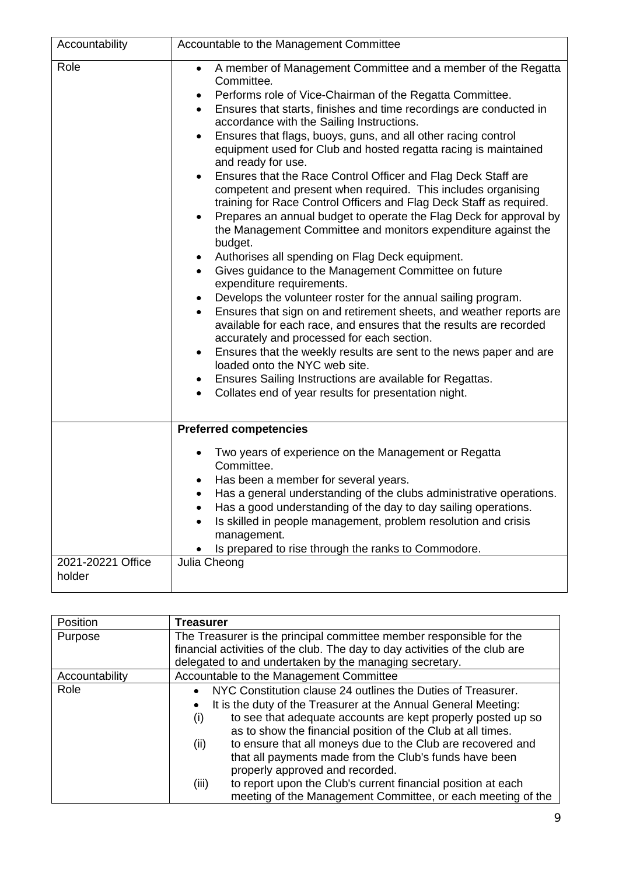| Accountability              | Accountable to the Management Committee                                                                                                                                                                                                                                                                                                                                                                                                                                                                                                                                                                                                                                                                                                                                                                                                                                                                                                                                                                                                                                                                                                                                                                                                                                                                                                                                                                                                                                                       |
|-----------------------------|-----------------------------------------------------------------------------------------------------------------------------------------------------------------------------------------------------------------------------------------------------------------------------------------------------------------------------------------------------------------------------------------------------------------------------------------------------------------------------------------------------------------------------------------------------------------------------------------------------------------------------------------------------------------------------------------------------------------------------------------------------------------------------------------------------------------------------------------------------------------------------------------------------------------------------------------------------------------------------------------------------------------------------------------------------------------------------------------------------------------------------------------------------------------------------------------------------------------------------------------------------------------------------------------------------------------------------------------------------------------------------------------------------------------------------------------------------------------------------------------------|
| Role                        | A member of Management Committee and a member of the Regatta<br>$\bullet$<br>Committee.<br>Performs role of Vice-Chairman of the Regatta Committee.<br>٠<br>Ensures that starts, finishes and time recordings are conducted in<br>$\bullet$<br>accordance with the Sailing Instructions.<br>Ensures that flags, buoys, guns, and all other racing control<br>equipment used for Club and hosted regatta racing is maintained<br>and ready for use.<br>Ensures that the Race Control Officer and Flag Deck Staff are<br>competent and present when required. This includes organising<br>training for Race Control Officers and Flag Deck Staff as required.<br>Prepares an annual budget to operate the Flag Deck for approval by<br>the Management Committee and monitors expenditure against the<br>budget.<br>Authorises all spending on Flag Deck equipment.<br>٠<br>Gives guidance to the Management Committee on future<br>$\bullet$<br>expenditure requirements.<br>Develops the volunteer roster for the annual sailing program.<br>٠<br>Ensures that sign on and retirement sheets, and weather reports are<br>$\bullet$<br>available for each race, and ensures that the results are recorded<br>accurately and processed for each section.<br>Ensures that the weekly results are sent to the news paper and are<br>loaded onto the NYC web site.<br>Ensures Sailing Instructions are available for Regattas.<br>Collates end of year results for presentation night.<br>$\bullet$ |
|                             | <b>Preferred competencies</b>                                                                                                                                                                                                                                                                                                                                                                                                                                                                                                                                                                                                                                                                                                                                                                                                                                                                                                                                                                                                                                                                                                                                                                                                                                                                                                                                                                                                                                                                 |
| 2021-20221 Office<br>holder | Two years of experience on the Management or Regatta<br>Committee.<br>Has been a member for several years.<br>Has a general understanding of the clubs administrative operations.<br>Has a good understanding of the day to day sailing operations.<br>Is skilled in people management, problem resolution and crisis<br>management.<br>Is prepared to rise through the ranks to Commodore.<br>Julia Cheong                                                                                                                                                                                                                                                                                                                                                                                                                                                                                                                                                                                                                                                                                                                                                                                                                                                                                                                                                                                                                                                                                   |

| Position       | <b>Treasurer</b>                                                            |
|----------------|-----------------------------------------------------------------------------|
| Purpose        | The Treasurer is the principal committee member responsible for the         |
|                | financial activities of the club. The day to day activities of the club are |
|                | delegated to and undertaken by the managing secretary.                      |
| Accountability | Accountable to the Management Committee                                     |
| Role           | NYC Constitution clause 24 outlines the Duties of Treasurer.<br>$\bullet$   |
|                | It is the duty of the Treasurer at the Annual General Meeting:              |
|                | to see that adequate accounts are kept properly posted up so<br>(i)         |
|                | as to show the financial position of the Club at all times.                 |
|                | to ensure that all moneys due to the Club are recovered and<br>(ii)         |
|                | that all payments made from the Club's funds have been                      |
|                | properly approved and recorded.                                             |
|                | to report upon the Club's current financial position at each<br>(iii)       |
|                | meeting of the Management Committee, or each meeting of the                 |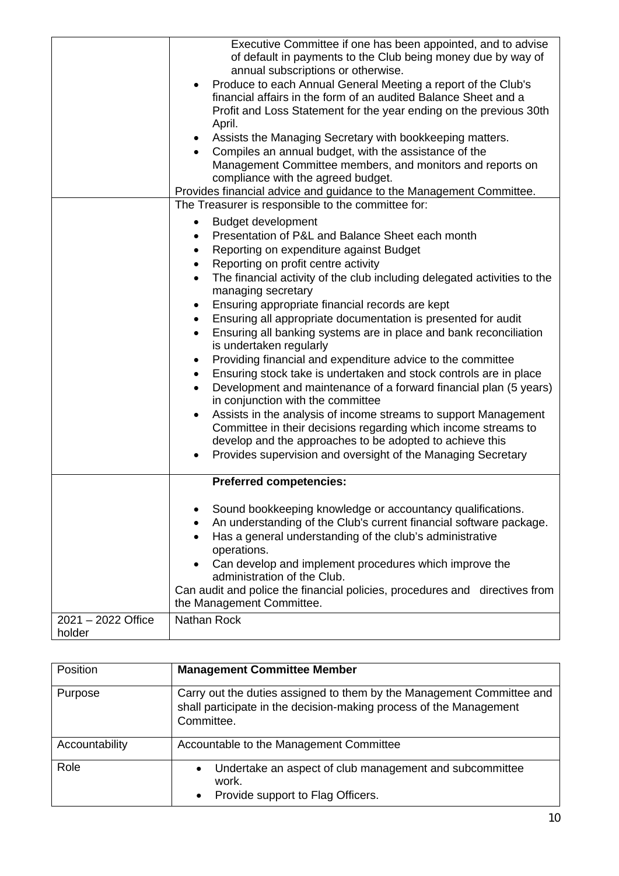|                    | Executive Committee if one has been appointed, and to advise<br>of default in payments to the Club being money due by way of<br>annual subscriptions or otherwise.<br>Produce to each Annual General Meeting a report of the Club's |
|--------------------|-------------------------------------------------------------------------------------------------------------------------------------------------------------------------------------------------------------------------------------|
|                    | financial affairs in the form of an audited Balance Sheet and a<br>Profit and Loss Statement for the year ending on the previous 30th<br>April.                                                                                     |
|                    | • Assists the Managing Secretary with bookkeeping matters.                                                                                                                                                                          |
|                    | Compiles an annual budget, with the assistance of the<br>Management Committee members, and monitors and reports on                                                                                                                  |
|                    | compliance with the agreed budget.                                                                                                                                                                                                  |
|                    | Provides financial advice and guidance to the Management Committee.                                                                                                                                                                 |
|                    | The Treasurer is responsible to the committee for:                                                                                                                                                                                  |
|                    | <b>Budget development</b><br>$\bullet$                                                                                                                                                                                              |
|                    | Presentation of P&L and Balance Sheet each month<br>$\bullet$                                                                                                                                                                       |
|                    | Reporting on expenditure against Budget<br>$\bullet$                                                                                                                                                                                |
|                    | Reporting on profit centre activity<br>$\bullet$                                                                                                                                                                                    |
|                    | The financial activity of the club including delegated activities to the<br>$\bullet$<br>managing secretary                                                                                                                         |
|                    | Ensuring appropriate financial records are kept<br>$\bullet$                                                                                                                                                                        |
|                    | Ensuring all appropriate documentation is presented for audit<br>$\bullet$                                                                                                                                                          |
|                    | Ensuring all banking systems are in place and bank reconciliation<br>$\bullet$<br>is undertaken regularly                                                                                                                           |
|                    | Providing financial and expenditure advice to the committee<br>٠                                                                                                                                                                    |
|                    | Ensuring stock take is undertaken and stock controls are in place<br>$\bullet$                                                                                                                                                      |
|                    | Development and maintenance of a forward financial plan (5 years)<br>$\bullet$<br>in conjunction with the committee                                                                                                                 |
|                    | Assists in the analysis of income streams to support Management<br>$\bullet$                                                                                                                                                        |
|                    | Committee in their decisions regarding which income streams to                                                                                                                                                                      |
|                    | develop and the approaches to be adopted to achieve this                                                                                                                                                                            |
|                    | Provides supervision and oversight of the Managing Secretary                                                                                                                                                                        |
|                    | <b>Preferred competencies:</b>                                                                                                                                                                                                      |
|                    | Sound bookkeeping knowledge or accountancy qualifications.<br>٠                                                                                                                                                                     |
|                    | An understanding of the Club's current financial software package.                                                                                                                                                                  |
|                    | Has a general understanding of the club's administrative<br>operations.                                                                                                                                                             |
|                    | Can develop and implement procedures which improve the                                                                                                                                                                              |
|                    | administration of the Club.                                                                                                                                                                                                         |
|                    | Can audit and police the financial policies, procedures and directives from                                                                                                                                                         |
|                    | the Management Committee.                                                                                                                                                                                                           |
| 2021 - 2022 Office | <b>Nathan Rock</b>                                                                                                                                                                                                                  |
| holder             |                                                                                                                                                                                                                                     |

| <b>Position</b> | <b>Management Committee Member</b>                                                                                                                        |
|-----------------|-----------------------------------------------------------------------------------------------------------------------------------------------------------|
| Purpose         | Carry out the duties assigned to them by the Management Committee and<br>shall participate in the decision-making process of the Management<br>Committee. |
| Accountability  | Accountable to the Management Committee                                                                                                                   |
| Role            | Undertake an aspect of club management and subcommittee<br>$\bullet$<br>work.<br>Provide support to Flag Officers.<br>$\bullet$                           |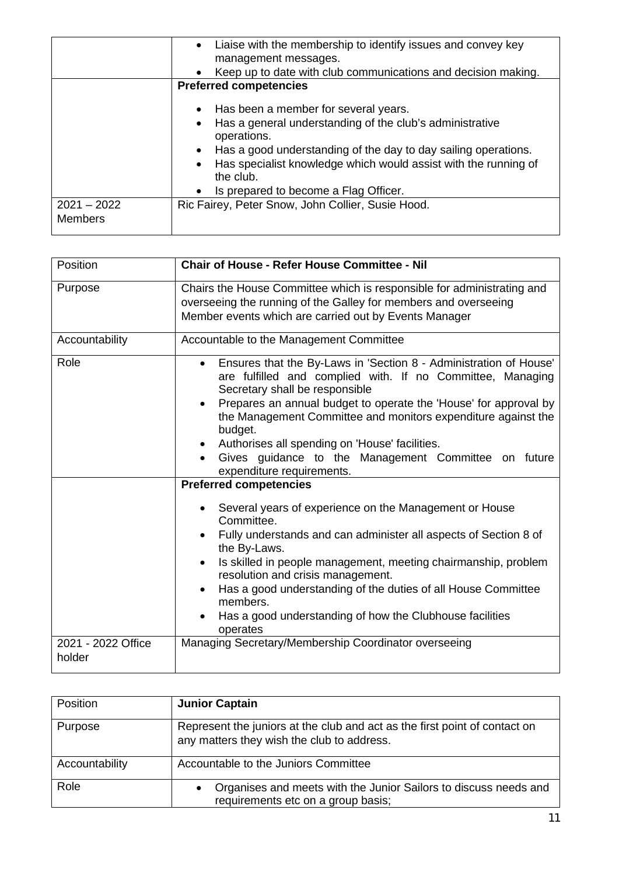|                                 | • Liaise with the membership to identify issues and convey key<br>management messages.<br>Keep up to date with club communications and decision making.<br>$\bullet$<br><b>Preferred competencies</b>                                                                                                                                                 |
|---------------------------------|-------------------------------------------------------------------------------------------------------------------------------------------------------------------------------------------------------------------------------------------------------------------------------------------------------------------------------------------------------|
|                                 | • Has been a member for several years.<br>Has a general understanding of the club's administrative<br>$\bullet$<br>operations.<br>Has a good understanding of the day to day sailing operations.<br>$\bullet$<br>Has specialist knowledge which would assist with the running of<br>$\bullet$<br>the club.<br>• Is prepared to become a Flag Officer. |
| $2021 - 2022$<br><b>Members</b> | Ric Fairey, Peter Snow, John Collier, Susie Hood.                                                                                                                                                                                                                                                                                                     |

| Position                     | <b>Chair of House - Refer House Committee - Nil</b>                                                                                                                                                                                                                                                                                                                                                                                                                                             |
|------------------------------|-------------------------------------------------------------------------------------------------------------------------------------------------------------------------------------------------------------------------------------------------------------------------------------------------------------------------------------------------------------------------------------------------------------------------------------------------------------------------------------------------|
| Purpose                      | Chairs the House Committee which is responsible for administrating and<br>overseeing the running of the Galley for members and overseeing<br>Member events which are carried out by Events Manager                                                                                                                                                                                                                                                                                              |
| Accountability               | Accountable to the Management Committee                                                                                                                                                                                                                                                                                                                                                                                                                                                         |
| Role                         | Ensures that the By-Laws in 'Section 8 - Administration of House'<br>$\bullet$<br>are fulfilled and complied with. If no Committee, Managing<br>Secretary shall be responsible<br>Prepares an annual budget to operate the 'House' for approval by<br>$\bullet$<br>the Management Committee and monitors expenditure against the<br>budget.<br>Authorises all spending on 'House' facilities.<br>$\bullet$<br>Gives guidance to the Management Committee on future<br>expenditure requirements. |
|                              | <b>Preferred competencies</b>                                                                                                                                                                                                                                                                                                                                                                                                                                                                   |
|                              | Several years of experience on the Management or House<br>Committee.<br>Fully understands and can administer all aspects of Section 8 of<br>the By-Laws.<br>Is skilled in people management, meeting chairmanship, problem<br>resolution and crisis management.<br>Has a good understanding of the duties of all House Committee<br>members.<br>Has a good understanding of how the Clubhouse facilities<br>operates                                                                            |
| 2021 - 2022 Office<br>holder | Managing Secretary/Membership Coordinator overseeing                                                                                                                                                                                                                                                                                                                                                                                                                                            |

| <b>Position</b> | <b>Junior Captain</b>                                                                                                    |
|-----------------|--------------------------------------------------------------------------------------------------------------------------|
| Purpose         | Represent the juniors at the club and act as the first point of contact on<br>any matters they wish the club to address. |
| Accountability  | Accountable to the Juniors Committee                                                                                     |
| Role            | Organises and meets with the Junior Sailors to discuss needs and<br>$\bullet$<br>requirements etc on a group basis;      |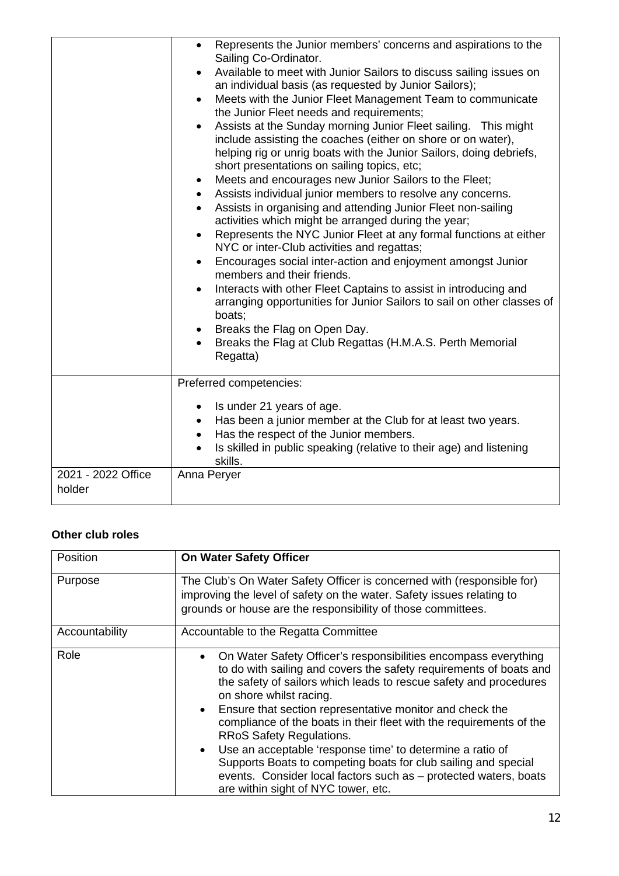|                              | Represents the Junior members' concerns and aspirations to the<br>$\bullet$<br>Sailing Co-Ordinator.<br>Available to meet with Junior Sailors to discuss sailing issues on<br>$\bullet$<br>an individual basis (as requested by Junior Sailors);<br>Meets with the Junior Fleet Management Team to communicate<br>the Junior Fleet needs and requirements;<br>Assists at the Sunday morning Junior Fleet sailing. This might<br>include assisting the coaches (either on shore or on water),<br>helping rig or unrig boats with the Junior Sailors, doing debriefs,<br>short presentations on sailing topics, etc;<br>Meets and encourages new Junior Sailors to the Fleet;<br>$\bullet$<br>Assists individual junior members to resolve any concerns.<br>$\bullet$<br>Assists in organising and attending Junior Fleet non-sailing<br>activities which might be arranged during the year;<br>Represents the NYC Junior Fleet at any formal functions at either<br>$\bullet$<br>NYC or inter-Club activities and regattas;<br>Encourages social inter-action and enjoyment amongst Junior<br>members and their friends.<br>Interacts with other Fleet Captains to assist in introducing and<br>arranging opportunities for Junior Sailors to sail on other classes of<br>boats;<br>Breaks the Flag on Open Day.<br>Breaks the Flag at Club Regattas (H.M.A.S. Perth Memorial<br>Regatta) |
|------------------------------|------------------------------------------------------------------------------------------------------------------------------------------------------------------------------------------------------------------------------------------------------------------------------------------------------------------------------------------------------------------------------------------------------------------------------------------------------------------------------------------------------------------------------------------------------------------------------------------------------------------------------------------------------------------------------------------------------------------------------------------------------------------------------------------------------------------------------------------------------------------------------------------------------------------------------------------------------------------------------------------------------------------------------------------------------------------------------------------------------------------------------------------------------------------------------------------------------------------------------------------------------------------------------------------------------------------------------------------------------------------------------------------|
|                              | Preferred competencies:<br>Is under 21 years of age.<br>$\bullet$<br>Has been a junior member at the Club for at least two years.<br>$\bullet$<br>Has the respect of the Junior members.<br>$\bullet$<br>Is skilled in public speaking (relative to their age) and listening<br>skills.                                                                                                                                                                                                                                                                                                                                                                                                                                                                                                                                                                                                                                                                                                                                                                                                                                                                                                                                                                                                                                                                                                  |
| 2021 - 2022 Office<br>holder | Anna Peryer                                                                                                                                                                                                                                                                                                                                                                                                                                                                                                                                                                                                                                                                                                                                                                                                                                                                                                                                                                                                                                                                                                                                                                                                                                                                                                                                                                              |

### **Other club roles**

| <b>Position</b> | <b>On Water Safety Officer</b>                                                                                                                                                                                                                                                                                                                                                                                                                                                                                                                                                                                                                                                               |
|-----------------|----------------------------------------------------------------------------------------------------------------------------------------------------------------------------------------------------------------------------------------------------------------------------------------------------------------------------------------------------------------------------------------------------------------------------------------------------------------------------------------------------------------------------------------------------------------------------------------------------------------------------------------------------------------------------------------------|
| Purpose         | The Club's On Water Safety Officer is concerned with (responsible for)<br>improving the level of safety on the water. Safety issues relating to<br>grounds or house are the responsibility of those committees.                                                                                                                                                                                                                                                                                                                                                                                                                                                                              |
| Accountability  | Accountable to the Regatta Committee                                                                                                                                                                                                                                                                                                                                                                                                                                                                                                                                                                                                                                                         |
| Role            | On Water Safety Officer's responsibilities encompass everything<br>$\bullet$<br>to do with sailing and covers the safety requirements of boats and<br>the safety of sailors which leads to rescue safety and procedures<br>on shore whilst racing.<br>Ensure that section representative monitor and check the<br>$\bullet$<br>compliance of the boats in their fleet with the requirements of the<br><b>RRoS Safety Regulations.</b><br>Use an acceptable 'response time' to determine a ratio of<br>$\bullet$<br>Supports Boats to competing boats for club sailing and special<br>events. Consider local factors such as - protected waters, boats<br>are within sight of NYC tower, etc. |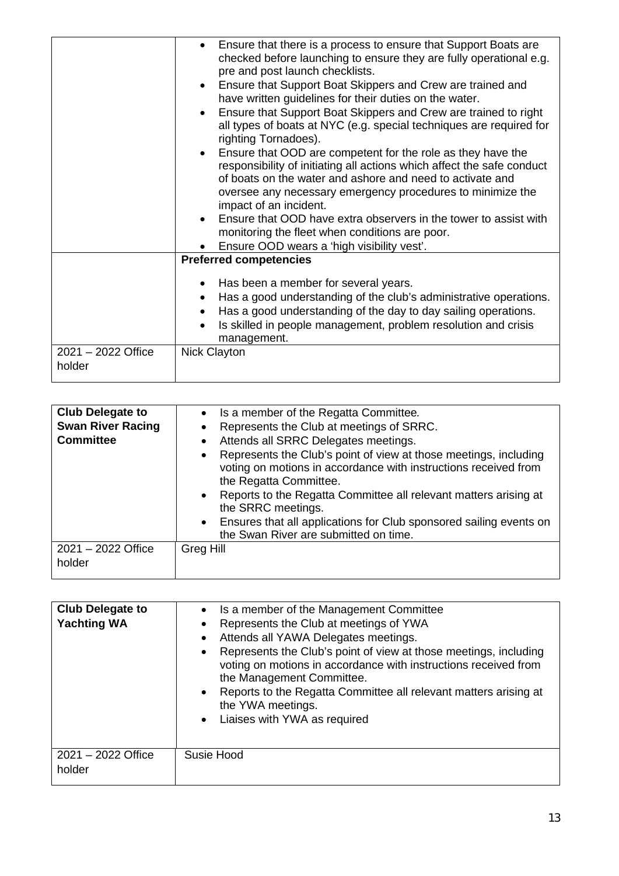|                              | Ensure that there is a process to ensure that Support Boats are<br>checked before launching to ensure they are fully operational e.g.<br>pre and post launch checklists.<br>Ensure that Support Boat Skippers and Crew are trained and<br>$\bullet$<br>have written guidelines for their duties on the water.<br>Ensure that Support Boat Skippers and Crew are trained to right<br>$\bullet$<br>all types of boats at NYC (e.g. special techniques are required for<br>righting Tornadoes).<br>Ensure that OOD are competent for the role as they have the<br>responsibility of initiating all actions which affect the safe conduct<br>of boats on the water and ashore and need to activate and<br>oversee any necessary emergency procedures to minimize the<br>impact of an incident.<br>Ensure that OOD have extra observers in the tower to assist with<br>monitoring the fleet when conditions are poor.<br>Ensure OOD wears a 'high visibility vest'. |
|------------------------------|----------------------------------------------------------------------------------------------------------------------------------------------------------------------------------------------------------------------------------------------------------------------------------------------------------------------------------------------------------------------------------------------------------------------------------------------------------------------------------------------------------------------------------------------------------------------------------------------------------------------------------------------------------------------------------------------------------------------------------------------------------------------------------------------------------------------------------------------------------------------------------------------------------------------------------------------------------------|
|                              | <b>Preferred competencies</b>                                                                                                                                                                                                                                                                                                                                                                                                                                                                                                                                                                                                                                                                                                                                                                                                                                                                                                                                  |
|                              | Has been a member for several years.<br>Has a good understanding of the club's administrative operations.<br>$\bullet$<br>Has a good understanding of the day to day sailing operations.<br>$\bullet$<br>Is skilled in people management, problem resolution and crisis<br>$\bullet$<br>management.                                                                                                                                                                                                                                                                                                                                                                                                                                                                                                                                                                                                                                                            |
| 2021 - 2022 Office<br>holder | <b>Nick Clayton</b>                                                                                                                                                                                                                                                                                                                                                                                                                                                                                                                                                                                                                                                                                                                                                                                                                                                                                                                                            |

| <b>Club Delegate to</b><br><b>Swan River Racing</b><br><b>Committee</b> | Is a member of the Regatta Committee.<br>$\bullet$<br>Represents the Club at meetings of SRRC.<br>Attends all SRRC Delegates meetings.<br>$\bullet$<br>Represents the Club's point of view at those meetings, including<br>$\bullet$<br>voting on motions in accordance with instructions received from<br>the Regatta Committee.<br>Reports to the Regatta Committee all relevant matters arising at<br>$\bullet$<br>the SRRC meetings.<br>Ensures that all applications for Club sponsored sailing events on<br>$\bullet$<br>the Swan River are submitted on time. |
|-------------------------------------------------------------------------|----------------------------------------------------------------------------------------------------------------------------------------------------------------------------------------------------------------------------------------------------------------------------------------------------------------------------------------------------------------------------------------------------------------------------------------------------------------------------------------------------------------------------------------------------------------------|
| 2021 - 2022 Office<br>holder                                            | Greg Hill                                                                                                                                                                                                                                                                                                                                                                                                                                                                                                                                                            |

| <b>Club Delegate to</b><br><b>Yachting WA</b> | Is a member of the Management Committee<br>$\bullet$<br>Represents the Club at meetings of YWA<br>$\bullet$<br>Attends all YAWA Delegates meetings.<br>$\bullet$<br>Represents the Club's point of view at those meetings, including<br>$\bullet$<br>voting on motions in accordance with instructions received from<br>the Management Committee.<br>Reports to the Regatta Committee all relevant matters arising at<br>$\bullet$<br>the YWA meetings.<br>Liaises with YWA as required<br>$\bullet$ |
|-----------------------------------------------|------------------------------------------------------------------------------------------------------------------------------------------------------------------------------------------------------------------------------------------------------------------------------------------------------------------------------------------------------------------------------------------------------------------------------------------------------------------------------------------------------|
| $2021 - 2022$ Office<br>holder                | Susie Hood                                                                                                                                                                                                                                                                                                                                                                                                                                                                                           |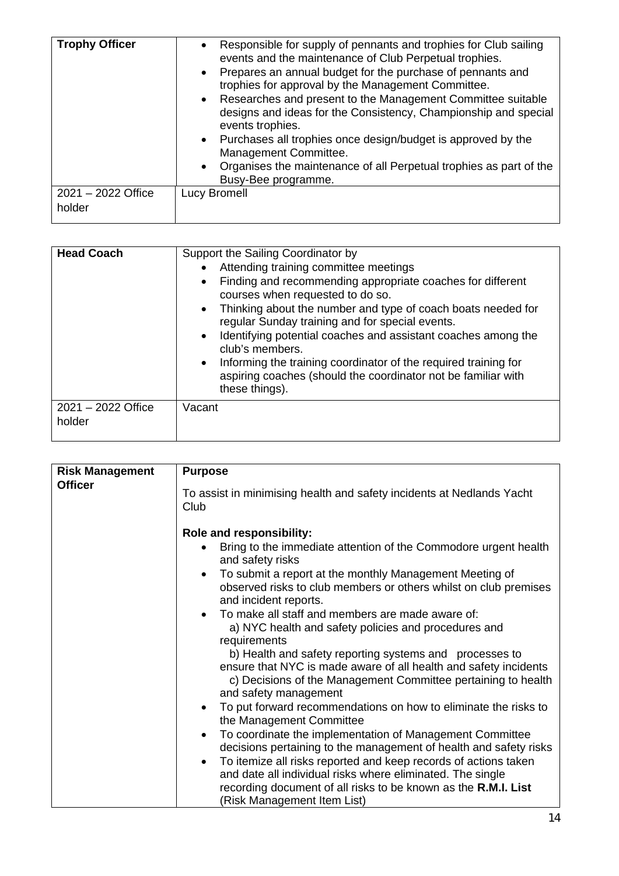| <b>Trophy Officer</b>        | Responsible for supply of pennants and trophies for Club sailing<br>$\bullet$<br>events and the maintenance of Club Perpetual trophies.<br>Prepares an annual budget for the purchase of pennants and<br>$\bullet$<br>trophies for approval by the Management Committee.<br>Researches and present to the Management Committee suitable<br>$\bullet$<br>designs and ideas for the Consistency, Championship and special<br>events trophies.<br>Purchases all trophies once design/budget is approved by the<br>Management Committee.<br>Organises the maintenance of all Perpetual trophies as part of the<br>$\bullet$<br>Busy-Bee programme. |
|------------------------------|------------------------------------------------------------------------------------------------------------------------------------------------------------------------------------------------------------------------------------------------------------------------------------------------------------------------------------------------------------------------------------------------------------------------------------------------------------------------------------------------------------------------------------------------------------------------------------------------------------------------------------------------|
| 2021 - 2022 Office<br>holder | Lucy Bromell                                                                                                                                                                                                                                                                                                                                                                                                                                                                                                                                                                                                                                   |

| <b>Head Coach</b>              | Support the Sailing Coordinator by<br>Attending training committee meetings<br>Finding and recommending appropriate coaches for different<br>$\bullet$<br>courses when requested to do so.<br>Thinking about the number and type of coach boats needed for<br>$\bullet$<br>regular Sunday training and for special events.<br>Identifying potential coaches and assistant coaches among the<br>$\bullet$<br>club's members.<br>Informing the training coordinator of the required training for<br>$\bullet$<br>aspiring coaches (should the coordinator not be familiar with<br>these things). |
|--------------------------------|------------------------------------------------------------------------------------------------------------------------------------------------------------------------------------------------------------------------------------------------------------------------------------------------------------------------------------------------------------------------------------------------------------------------------------------------------------------------------------------------------------------------------------------------------------------------------------------------|
| $2021 - 2022$ Office<br>holder | Vacant                                                                                                                                                                                                                                                                                                                                                                                                                                                                                                                                                                                         |

| <b>Risk Management</b> | <b>Purpose</b>                                                                                                                                                                                                      |
|------------------------|---------------------------------------------------------------------------------------------------------------------------------------------------------------------------------------------------------------------|
| <b>Officer</b>         | To assist in minimising health and safety incidents at Nedlands Yacht<br>Club<br><b>Role and responsibility:</b>                                                                                                    |
|                        | Bring to the immediate attention of the Commodore urgent health<br>and safety risks                                                                                                                                 |
|                        | To submit a report at the monthly Management Meeting of<br>٠<br>observed risks to club members or others whilst on club premises<br>and incident reports.                                                           |
|                        | To make all staff and members are made aware of:<br>a) NYC health and safety policies and procedures and<br>requirements<br>b) Health and safety reporting systems and processes to                                 |
|                        | ensure that NYC is made aware of all health and safety incidents<br>c) Decisions of the Management Committee pertaining to health<br>and safety management                                                          |
|                        | To put forward recommendations on how to eliminate the risks to<br>the Management Committee                                                                                                                         |
|                        | To coordinate the implementation of Management Committee<br>$\bullet$<br>decisions pertaining to the management of health and safety risks                                                                          |
|                        | To itemize all risks reported and keep records of actions taken<br>$\bullet$<br>and date all individual risks where eliminated. The single<br>recording document of all risks to be known as the <b>R.M.I. List</b> |
|                        | (Risk Management Item List)                                                                                                                                                                                         |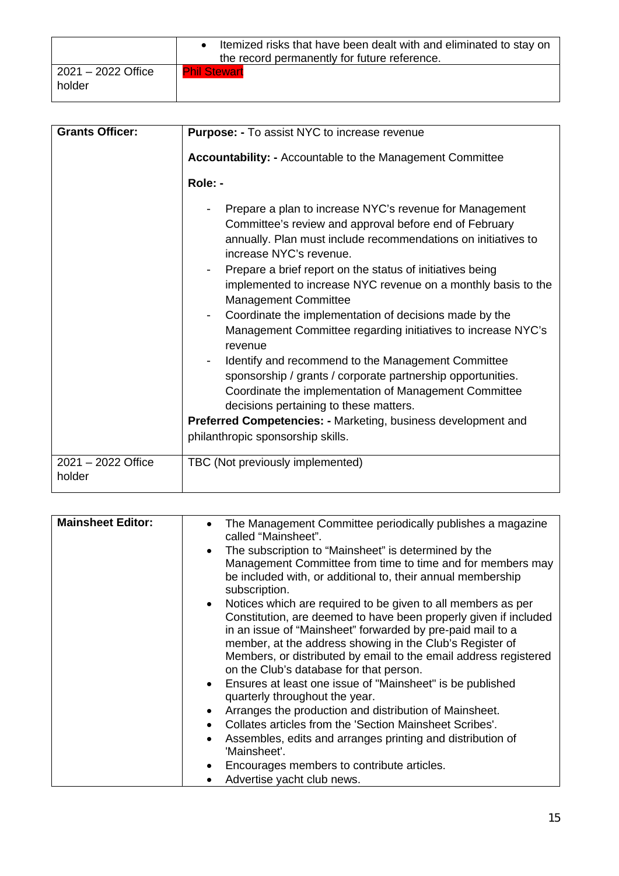|                              | Itemized risks that have been dealt with and eliminated to stay on<br>the record permanently for future reference. |
|------------------------------|--------------------------------------------------------------------------------------------------------------------|
| 2021 - 2022 Office<br>holder | <b>Phil Stewart</b>                                                                                                |

| <b>Grants Officer:</b>       | Purpose: - To assist NYC to increase revenue                                                                                                                                                                                                                                                                                                                                                                                                                                                                                                                                                                                                                                                                                            |
|------------------------------|-----------------------------------------------------------------------------------------------------------------------------------------------------------------------------------------------------------------------------------------------------------------------------------------------------------------------------------------------------------------------------------------------------------------------------------------------------------------------------------------------------------------------------------------------------------------------------------------------------------------------------------------------------------------------------------------------------------------------------------------|
|                              | Accountability: - Accountable to the Management Committee                                                                                                                                                                                                                                                                                                                                                                                                                                                                                                                                                                                                                                                                               |
|                              | Role: -                                                                                                                                                                                                                                                                                                                                                                                                                                                                                                                                                                                                                                                                                                                                 |
|                              | Prepare a plan to increase NYC's revenue for Management<br>Committee's review and approval before end of February<br>annually. Plan must include recommendations on initiatives to<br>increase NYC's revenue.<br>Prepare a brief report on the status of initiatives being<br>implemented to increase NYC revenue on a monthly basis to the<br><b>Management Committee</b><br>Coordinate the implementation of decisions made by the<br>Management Committee regarding initiatives to increase NYC's<br>revenue<br>Identify and recommend to the Management Committee<br>sponsorship / grants / corporate partnership opportunities.<br>Coordinate the implementation of Management Committee<br>decisions pertaining to these matters. |
|                              | <b>Preferred Competencies: - Marketing, business development and</b>                                                                                                                                                                                                                                                                                                                                                                                                                                                                                                                                                                                                                                                                    |
|                              | philanthropic sponsorship skills.                                                                                                                                                                                                                                                                                                                                                                                                                                                                                                                                                                                                                                                                                                       |
| 2021 - 2022 Office<br>holder | TBC (Not previously implemented)                                                                                                                                                                                                                                                                                                                                                                                                                                                                                                                                                                                                                                                                                                        |

| <b>Mainsheet Editor:</b> | The Management Committee periodically publishes a magazine<br>$\bullet$<br>called "Mainsheet".                                                                                                                                                                                                                                                                                         |
|--------------------------|----------------------------------------------------------------------------------------------------------------------------------------------------------------------------------------------------------------------------------------------------------------------------------------------------------------------------------------------------------------------------------------|
|                          | The subscription to "Mainsheet" is determined by the<br>Management Committee from time to time and for members may<br>be included with, or additional to, their annual membership<br>subscription.                                                                                                                                                                                     |
|                          | Notices which are required to be given to all members as per<br>$\bullet$<br>Constitution, are deemed to have been properly given if included<br>in an issue of "Mainsheet" forwarded by pre-paid mail to a<br>member, at the address showing in the Club's Register of<br>Members, or distributed by email to the email address registered<br>on the Club's database for that person. |
|                          | • Ensures at least one issue of "Mainsheet" is be published<br>quarterly throughout the year.                                                                                                                                                                                                                                                                                          |
|                          | Arranges the production and distribution of Mainsheet.<br>$\bullet$                                                                                                                                                                                                                                                                                                                    |
|                          | Collates articles from the 'Section Mainsheet Scribes'.<br>$\bullet$                                                                                                                                                                                                                                                                                                                   |
|                          | Assembles, edits and arranges printing and distribution of<br>'Mainsheet'.                                                                                                                                                                                                                                                                                                             |
|                          | Encourages members to contribute articles.                                                                                                                                                                                                                                                                                                                                             |
|                          | Advertise yacht club news.                                                                                                                                                                                                                                                                                                                                                             |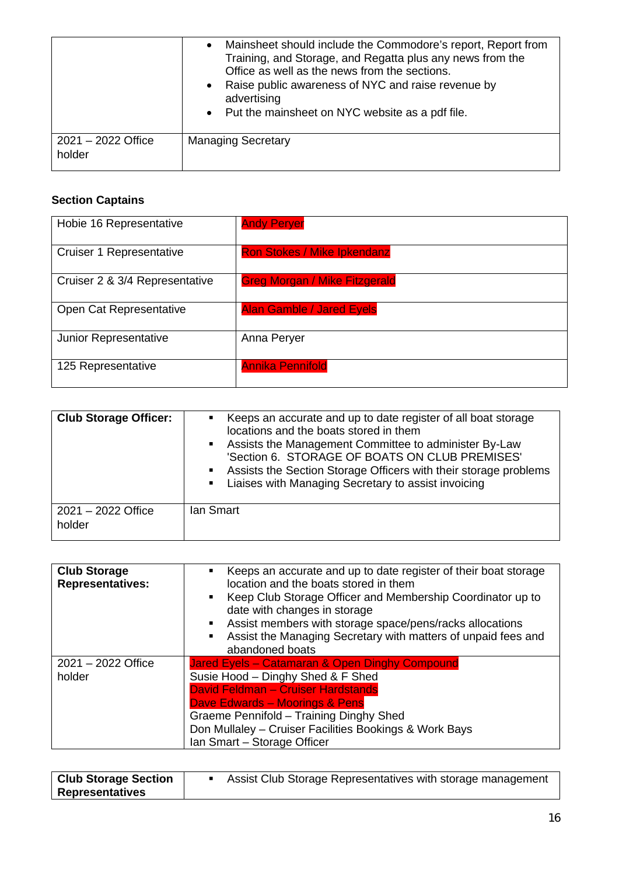|                                | Mainsheet should include the Commodore's report, Report from<br>Training, and Storage, and Regatta plus any news from the<br>Office as well as the news from the sections.<br>Raise public awareness of NYC and raise revenue by<br>advertising<br>• Put the mainsheet on NYC website as a pdf file. |
|--------------------------------|------------------------------------------------------------------------------------------------------------------------------------------------------------------------------------------------------------------------------------------------------------------------------------------------------|
| $2021 - 2022$ Office<br>holder | <b>Managing Secretary</b>                                                                                                                                                                                                                                                                            |

#### **Section Captains**

| Hobie 16 Representative         | <b>Andy Peryer</b>                   |
|---------------------------------|--------------------------------------|
| <b>Cruiser 1 Representative</b> | <b>Ron Stokes / Mike Ipkendanz</b>   |
| Cruiser 2 & 3/4 Representative  | <b>Greg Morgan / Mike Fitzgerald</b> |
| Open Cat Representative         | <b>Alan Gamble / Jared Eyels</b>     |
| Junior Representative           | Anna Peryer                          |
| 125 Representative              | <b>Annika Pennifold</b>              |

| <b>Club Storage Officer:</b>   | • Keeps an accurate and up to date register of all boat storage<br>locations and the boats stored in them<br>• Assists the Management Committee to administer By-Law<br>'Section 6. STORAGE OF BOATS ON CLUB PREMISES'<br>• Assists the Section Storage Officers with their storage problems<br>• Liaises with Managing Secretary to assist invoicing |
|--------------------------------|-------------------------------------------------------------------------------------------------------------------------------------------------------------------------------------------------------------------------------------------------------------------------------------------------------------------------------------------------------|
| $2021 - 2022$ Office<br>holder | lan Smart                                                                                                                                                                                                                                                                                                                                             |

| <b>Club Storage</b><br><b>Representatives:</b> | Keeps an accurate and up to date register of their boat storage<br>٠<br>location and the boats stored in them<br>• Keep Club Storage Officer and Membership Coordinator up to<br>date with changes in storage<br>Assist members with storage space/pens/racks allocations<br>Assist the Managing Secretary with matters of unpaid fees and<br>٠<br>abandoned boats |
|------------------------------------------------|--------------------------------------------------------------------------------------------------------------------------------------------------------------------------------------------------------------------------------------------------------------------------------------------------------------------------------------------------------------------|
| 2021 - 2022 Office<br>holder                   | Jared Eyels - Catamaran & Open Dinghy Compound<br>Susie Hood - Dinghy Shed & F Shed<br>David Feldman - Cruiser Hardstands<br>Dave Edwards - Moorings & Pens<br>Graeme Pennifold - Training Dinghy Shed<br>Don Mullaley - Cruiser Facilities Bookings & Work Bays<br>Ian Smart - Storage Officer                                                                    |

| <b>Club Storage Section</b> | Assist Club Storage Representatives with storage management |
|-----------------------------|-------------------------------------------------------------|
| <b>Representatives</b>      |                                                             |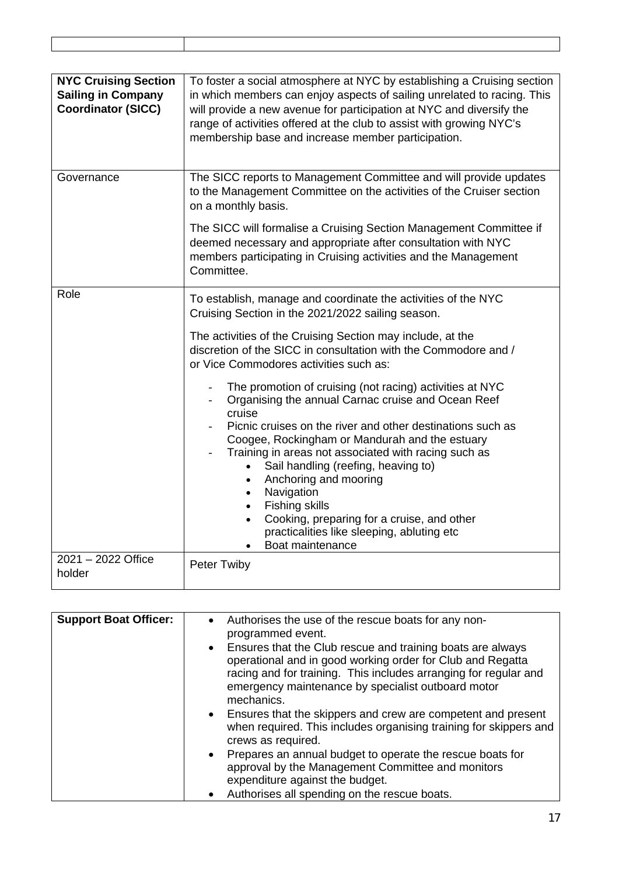| <b>NYC Cruising Section</b><br><b>Sailing in Company</b><br><b>Coordinator (SICC)</b> | To foster a social atmosphere at NYC by establishing a Cruising section<br>in which members can enjoy aspects of sailing unrelated to racing. This<br>will provide a new avenue for participation at NYC and diversify the<br>range of activities offered at the club to assist with growing NYC's<br>membership base and increase member participation.                                                                                                                                                                                                                                                                                                                                                                                                                                                                                                                       |
|---------------------------------------------------------------------------------------|--------------------------------------------------------------------------------------------------------------------------------------------------------------------------------------------------------------------------------------------------------------------------------------------------------------------------------------------------------------------------------------------------------------------------------------------------------------------------------------------------------------------------------------------------------------------------------------------------------------------------------------------------------------------------------------------------------------------------------------------------------------------------------------------------------------------------------------------------------------------------------|
| Governance                                                                            | The SICC reports to Management Committee and will provide updates<br>to the Management Committee on the activities of the Cruiser section<br>on a monthly basis.<br>The SICC will formalise a Cruising Section Management Committee if<br>deemed necessary and appropriate after consultation with NYC<br>members participating in Cruising activities and the Management<br>Committee.                                                                                                                                                                                                                                                                                                                                                                                                                                                                                        |
| Role                                                                                  | To establish, manage and coordinate the activities of the NYC<br>Cruising Section in the 2021/2022 sailing season.<br>The activities of the Cruising Section may include, at the<br>discretion of the SICC in consultation with the Commodore and /<br>or Vice Commodores activities such as:<br>The promotion of cruising (not racing) activities at NYC<br>Organising the annual Carnac cruise and Ocean Reef<br>$\overline{\phantom{a}}$<br>cruise<br>Picnic cruises on the river and other destinations such as<br>Coogee, Rockingham or Mandurah and the estuary<br>Training in areas not associated with racing such as<br>Sail handling (reefing, heaving to)<br>Anchoring and mooring<br>Navigation<br><b>Fishing skills</b><br>$\bullet$<br>Cooking, preparing for a cruise, and other<br>$\bullet$<br>practicalities like sleeping, abluting etc<br>Boat maintenance |
| 2021 - 2022 Office<br>holder                                                          | Peter Twiby                                                                                                                                                                                                                                                                                                                                                                                                                                                                                                                                                                                                                                                                                                                                                                                                                                                                    |

| <b>Support Boat Officer:</b> | • Authorises the use of the rescue boats for any non-<br>programmed event.<br>• Ensures that the Club rescue and training boats are always<br>operational and in good working order for Club and Regatta<br>racing and for training. This includes arranging for regular and<br>emergency maintenance by specialist outboard motor<br>mechanics. |
|------------------------------|--------------------------------------------------------------------------------------------------------------------------------------------------------------------------------------------------------------------------------------------------------------------------------------------------------------------------------------------------|
|                              | • Ensures that the skippers and crew are competent and present<br>when required. This includes organising training for skippers and<br>crews as required.                                                                                                                                                                                        |
|                              | Prepares an annual budget to operate the rescue boats for<br>$\bullet$<br>approval by the Management Committee and monitors<br>expenditure against the budget.<br>• Authorises all spending on the rescue boats.                                                                                                                                 |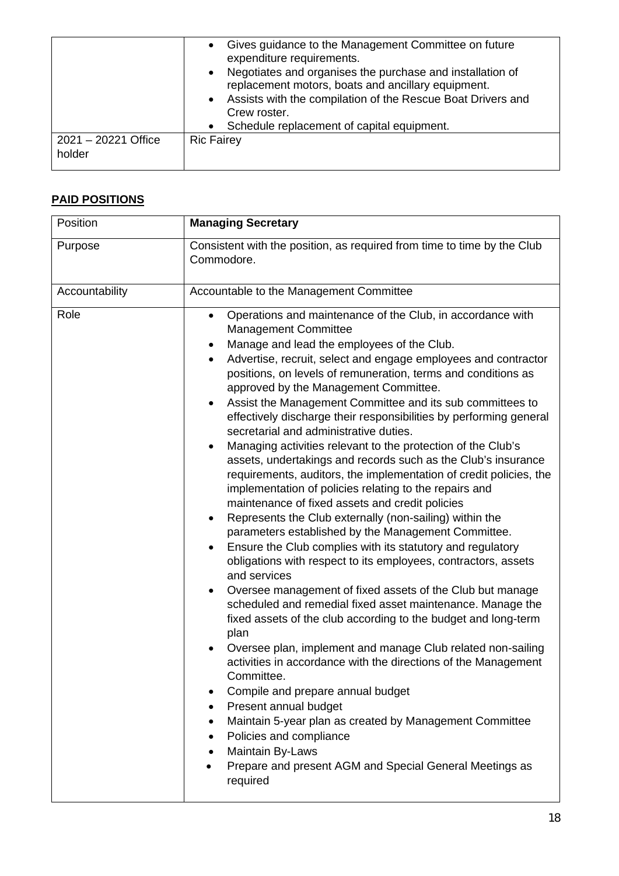|                               | Gives guidance to the Management Committee on future<br>expenditure requirements.<br>Negotiates and organises the purchase and installation of<br>$\bullet$<br>replacement motors, boats and ancillary equipment.<br>• Assists with the compilation of the Rescue Boat Drivers and<br>Crew roster.<br>Schedule replacement of capital equipment.<br>$\bullet$ |
|-------------------------------|---------------------------------------------------------------------------------------------------------------------------------------------------------------------------------------------------------------------------------------------------------------------------------------------------------------------------------------------------------------|
| 2021 - 20221 Office<br>holder | <b>Ric Fairey</b>                                                                                                                                                                                                                                                                                                                                             |

#### **PAID POSITIONS**

| Position       | <b>Managing Secretary</b>                                                                                                                                                                                                                                                                                                                                                                                                                                                                                                                                                                                                                                                                                                                                                                                                                                                                                                                                                                                                                                                                                                                                                                                                                                                                                                                                                                                                                                                                                                                                                                                                                                                                                                                                                         |
|----------------|-----------------------------------------------------------------------------------------------------------------------------------------------------------------------------------------------------------------------------------------------------------------------------------------------------------------------------------------------------------------------------------------------------------------------------------------------------------------------------------------------------------------------------------------------------------------------------------------------------------------------------------------------------------------------------------------------------------------------------------------------------------------------------------------------------------------------------------------------------------------------------------------------------------------------------------------------------------------------------------------------------------------------------------------------------------------------------------------------------------------------------------------------------------------------------------------------------------------------------------------------------------------------------------------------------------------------------------------------------------------------------------------------------------------------------------------------------------------------------------------------------------------------------------------------------------------------------------------------------------------------------------------------------------------------------------------------------------------------------------------------------------------------------------|
| Purpose        | Consistent with the position, as required from time to time by the Club<br>Commodore.                                                                                                                                                                                                                                                                                                                                                                                                                                                                                                                                                                                                                                                                                                                                                                                                                                                                                                                                                                                                                                                                                                                                                                                                                                                                                                                                                                                                                                                                                                                                                                                                                                                                                             |
| Accountability | Accountable to the Management Committee                                                                                                                                                                                                                                                                                                                                                                                                                                                                                                                                                                                                                                                                                                                                                                                                                                                                                                                                                                                                                                                                                                                                                                                                                                                                                                                                                                                                                                                                                                                                                                                                                                                                                                                                           |
| Role           | Operations and maintenance of the Club, in accordance with<br>$\bullet$<br><b>Management Committee</b><br>Manage and lead the employees of the Club.<br>$\bullet$<br>Advertise, recruit, select and engage employees and contractor<br>$\bullet$<br>positions, on levels of remuneration, terms and conditions as<br>approved by the Management Committee.<br>Assist the Management Committee and its sub committees to<br>effectively discharge their responsibilities by performing general<br>secretarial and administrative duties.<br>Managing activities relevant to the protection of the Club's<br>$\bullet$<br>assets, undertakings and records such as the Club's insurance<br>requirements, auditors, the implementation of credit policies, the<br>implementation of policies relating to the repairs and<br>maintenance of fixed assets and credit policies<br>Represents the Club externally (non-sailing) within the<br>$\bullet$<br>parameters established by the Management Committee.<br>Ensure the Club complies with its statutory and regulatory<br>$\bullet$<br>obligations with respect to its employees, contractors, assets<br>and services<br>Oversee management of fixed assets of the Club but manage<br>٠<br>scheduled and remedial fixed asset maintenance. Manage the<br>fixed assets of the club according to the budget and long-term<br>plan<br>Oversee plan, implement and manage Club related non-sailing<br>activities in accordance with the directions of the Management<br>Committee.<br>Compile and prepare annual budget<br>Present annual budget<br>Maintain 5-year plan as created by Management Committee<br>Policies and compliance<br>٠<br>Maintain By-Laws<br>Prepare and present AGM and Special General Meetings as<br>required |

 $\overline{\phantom{a}}$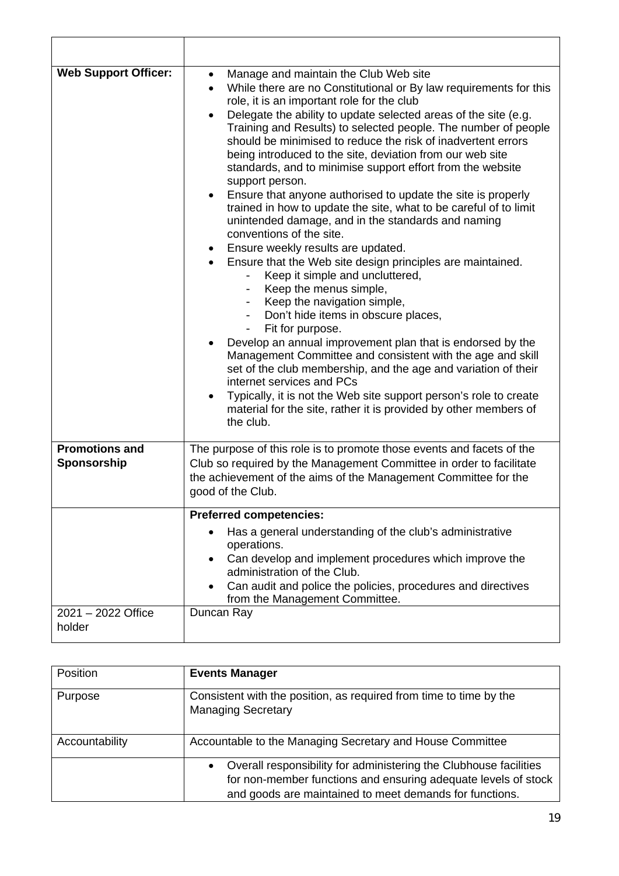| <b>Web Support Officer:</b>          | Manage and maintain the Club Web site<br>$\bullet$<br>While there are no Constitutional or By law requirements for this<br>$\bullet$<br>role, it is an important role for the club<br>Delegate the ability to update selected areas of the site (e.g.<br>Training and Results) to selected people. The number of people<br>should be minimised to reduce the risk of inadvertent errors<br>being introduced to the site, deviation from our web site<br>standards, and to minimise support effort from the website<br>support person.<br>Ensure that anyone authorised to update the site is properly<br>$\bullet$<br>trained in how to update the site, what to be careful of to limit<br>unintended damage, and in the standards and naming<br>conventions of the site.<br>Ensure weekly results are updated.<br>$\bullet$<br>Ensure that the Web site design principles are maintained.<br>Keep it simple and uncluttered,<br>- Keep the menus simple,<br>- Keep the navigation simple,<br>Don't hide items in obscure places,<br>Fit for purpose.<br>Develop an annual improvement plan that is endorsed by the<br>Management Committee and consistent with the age and skill<br>set of the club membership, and the age and variation of their<br>internet services and PCs<br>Typically, it is not the Web site support person's role to create<br>material for the site, rather it is provided by other members of<br>the club. |
|--------------------------------------|----------------------------------------------------------------------------------------------------------------------------------------------------------------------------------------------------------------------------------------------------------------------------------------------------------------------------------------------------------------------------------------------------------------------------------------------------------------------------------------------------------------------------------------------------------------------------------------------------------------------------------------------------------------------------------------------------------------------------------------------------------------------------------------------------------------------------------------------------------------------------------------------------------------------------------------------------------------------------------------------------------------------------------------------------------------------------------------------------------------------------------------------------------------------------------------------------------------------------------------------------------------------------------------------------------------------------------------------------------------------------------------------------------------------------------------|
| <b>Promotions and</b><br>Sponsorship | The purpose of this role is to promote those events and facets of the<br>Club so required by the Management Committee in order to facilitate<br>the achievement of the aims of the Management Committee for the<br>good of the Club.                                                                                                                                                                                                                                                                                                                                                                                                                                                                                                                                                                                                                                                                                                                                                                                                                                                                                                                                                                                                                                                                                                                                                                                                   |
|                                      | <b>Preferred competencies:</b>                                                                                                                                                                                                                                                                                                                                                                                                                                                                                                                                                                                                                                                                                                                                                                                                                                                                                                                                                                                                                                                                                                                                                                                                                                                                                                                                                                                                         |
|                                      | Has a general understanding of the club's administrative<br>operations.<br>Can develop and implement procedures which improve the<br>$\bullet$<br>administration of the Club.<br>Can audit and police the policies, procedures and directives<br>from the Management Committee.                                                                                                                                                                                                                                                                                                                                                                                                                                                                                                                                                                                                                                                                                                                                                                                                                                                                                                                                                                                                                                                                                                                                                        |
| 2021 - 2022 Office<br>holder         | Duncan Ray                                                                                                                                                                                                                                                                                                                                                                                                                                                                                                                                                                                                                                                                                                                                                                                                                                                                                                                                                                                                                                                                                                                                                                                                                                                                                                                                                                                                                             |

| Position       | <b>Events Manager</b>                                                                                                                                                                                       |
|----------------|-------------------------------------------------------------------------------------------------------------------------------------------------------------------------------------------------------------|
| Purpose        | Consistent with the position, as required from time to time by the<br><b>Managing Secretary</b>                                                                                                             |
| Accountability | Accountable to the Managing Secretary and House Committee                                                                                                                                                   |
|                | Overall responsibility for administering the Clubhouse facilities<br>$\bullet$<br>for non-member functions and ensuring adequate levels of stock<br>and goods are maintained to meet demands for functions. |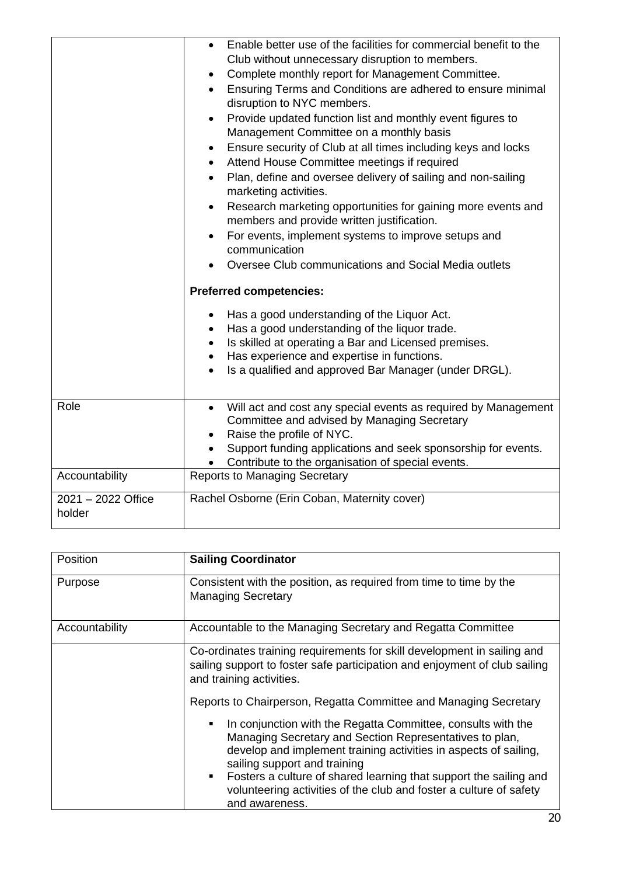|                              | Enable better use of the facilities for commercial benefit to the<br>$\bullet$<br>Club without unnecessary disruption to members.<br>Complete monthly report for Management Committee.<br>$\bullet$<br>Ensuring Terms and Conditions are adhered to ensure minimal<br>disruption to NYC members.<br>Provide updated function list and monthly event figures to<br>$\bullet$<br>Management Committee on a monthly basis<br>Ensure security of Club at all times including keys and locks<br>٠<br>Attend House Committee meetings if required<br>$\bullet$<br>Plan, define and oversee delivery of sailing and non-sailing<br>$\bullet$<br>marketing activities.<br>Research marketing opportunities for gaining more events and<br>$\bullet$<br>members and provide written justification.<br>For events, implement systems to improve setups and<br>$\bullet$<br>communication<br>Oversee Club communications and Social Media outlets<br><b>Preferred competencies:</b><br>Has a good understanding of the Liquor Act.<br>$\bullet$<br>Has a good understanding of the liquor trade.<br>$\bullet$<br>Is skilled at operating a Bar and Licensed premises.<br>$\bullet$ |
|------------------------------|-------------------------------------------------------------------------------------------------------------------------------------------------------------------------------------------------------------------------------------------------------------------------------------------------------------------------------------------------------------------------------------------------------------------------------------------------------------------------------------------------------------------------------------------------------------------------------------------------------------------------------------------------------------------------------------------------------------------------------------------------------------------------------------------------------------------------------------------------------------------------------------------------------------------------------------------------------------------------------------------------------------------------------------------------------------------------------------------------------------------------------------------------------------------------|
|                              | Has experience and expertise in functions.<br>Is a qualified and approved Bar Manager (under DRGL).                                                                                                                                                                                                                                                                                                                                                                                                                                                                                                                                                                                                                                                                                                                                                                                                                                                                                                                                                                                                                                                                     |
| Role                         | Will act and cost any special events as required by Management<br>$\bullet$<br>Committee and advised by Managing Secretary<br>Raise the profile of NYC.<br>Support funding applications and seek sponsorship for events.<br>Contribute to the organisation of special events.                                                                                                                                                                                                                                                                                                                                                                                                                                                                                                                                                                                                                                                                                                                                                                                                                                                                                           |
| Accountability               | <b>Reports to Managing Secretary</b>                                                                                                                                                                                                                                                                                                                                                                                                                                                                                                                                                                                                                                                                                                                                                                                                                                                                                                                                                                                                                                                                                                                                    |
| 2021 - 2022 Office<br>holder | Rachel Osborne (Erin Coban, Maternity cover)                                                                                                                                                                                                                                                                                                                                                                                                                                                                                                                                                                                                                                                                                                                                                                                                                                                                                                                                                                                                                                                                                                                            |

| Position       | <b>Sailing Coordinator</b>                                                                                                                                                                                                                                                                                                                                                                                                              |
|----------------|-----------------------------------------------------------------------------------------------------------------------------------------------------------------------------------------------------------------------------------------------------------------------------------------------------------------------------------------------------------------------------------------------------------------------------------------|
| Purpose        | Consistent with the position, as required from time to time by the<br><b>Managing Secretary</b>                                                                                                                                                                                                                                                                                                                                         |
| Accountability | Accountable to the Managing Secretary and Regatta Committee                                                                                                                                                                                                                                                                                                                                                                             |
|                | Co-ordinates training requirements for skill development in sailing and<br>sailing support to foster safe participation and enjoyment of club sailing<br>and training activities.                                                                                                                                                                                                                                                       |
|                | Reports to Chairperson, Regatta Committee and Managing Secretary                                                                                                                                                                                                                                                                                                                                                                        |
|                | In conjunction with the Regatta Committee, consults with the<br>$\blacksquare$<br>Managing Secretary and Section Representatives to plan,<br>develop and implement training activities in aspects of sailing,<br>sailing support and training<br>Fosters a culture of shared learning that support the sailing and<br>$\mathbf{E}^{\text{max}}$<br>volunteering activities of the club and foster a culture of safety<br>and awareness. |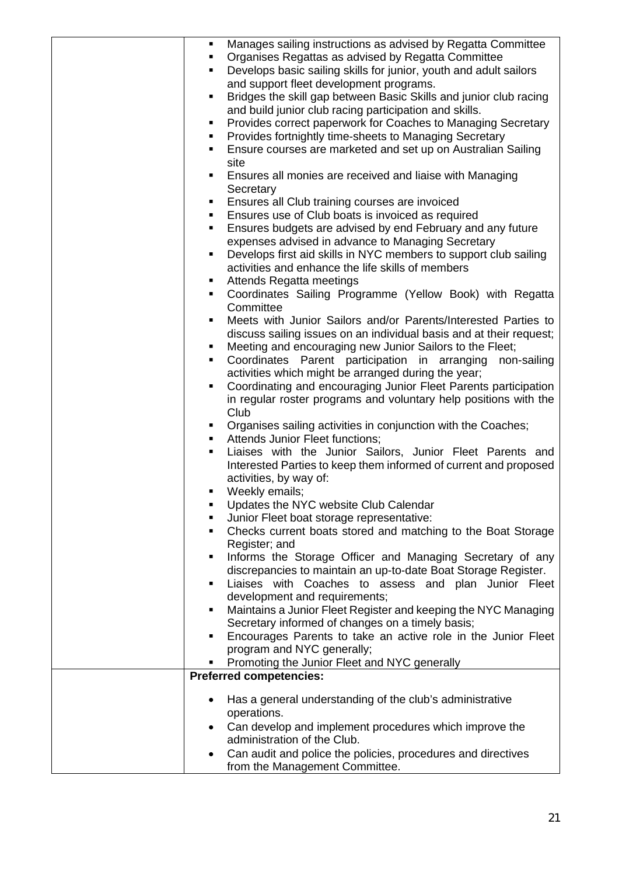| Manages sailing instructions as advised by Regatta Committee<br>٠                                                           |
|-----------------------------------------------------------------------------------------------------------------------------|
| Organises Regattas as advised by Regatta Committee                                                                          |
| Develops basic sailing skills for junior, youth and adult sailors<br>$\blacksquare$                                         |
| and support fleet development programs.                                                                                     |
| Bridges the skill gap between Basic Skills and junior club racing<br>٠                                                      |
| and build junior club racing participation and skills.                                                                      |
| Provides correct paperwork for Coaches to Managing Secretary<br>٠                                                           |
| Provides fortnightly time-sheets to Managing Secretary                                                                      |
| Ensure courses are marketed and set up on Australian Sailing<br>٠                                                           |
| site                                                                                                                        |
| Ensures all monies are received and liaise with Managing<br>$\blacksquare$                                                  |
| Secretary                                                                                                                   |
| Ensures all Club training courses are invoiced<br>٠                                                                         |
| Ensures use of Club boats is invoiced as required<br>п.                                                                     |
| Ensures budgets are advised by end February and any future<br>٠                                                             |
| expenses advised in advance to Managing Secretary                                                                           |
| Develops first aid skills in NYC members to support club sailing<br>٠                                                       |
| activities and enhance the life skills of members                                                                           |
| Attends Regatta meetings<br>٠                                                                                               |
| Coordinates Sailing Programme (Yellow Book) with Regatta<br>٠                                                               |
| Committee                                                                                                                   |
| Meets with Junior Sailors and/or Parents/Interested Parties to<br>$\blacksquare$                                            |
| discuss sailing issues on an individual basis and at their request;                                                         |
| Meeting and encouraging new Junior Sailors to the Fleet;<br>٠                                                               |
| Coordinates Parent participation in arranging non-sailing                                                                   |
| activities which might be arranged during the year;                                                                         |
| Coordinating and encouraging Junior Fleet Parents participation<br>٠                                                        |
| in regular roster programs and voluntary help positions with the                                                            |
| Club                                                                                                                        |
| Organises sailing activities in conjunction with the Coaches;<br>٠                                                          |
| Attends Junior Fleet functions;<br>$\blacksquare$                                                                           |
| Liaises with the Junior Sailors, Junior Fleet Parents and<br>٠                                                              |
| Interested Parties to keep them informed of current and proposed                                                            |
| activities, by way of:                                                                                                      |
| Weekly emails;                                                                                                              |
| Updates the NYC website Club Calendar                                                                                       |
| Junior Fleet boat storage representative:                                                                                   |
| Checks current boats stored and matching to the Boat Storage<br>٠                                                           |
|                                                                                                                             |
| Register; and<br>٠                                                                                                          |
| Informs the Storage Officer and Managing Secretary of any<br>discrepancies to maintain an up-to-date Boat Storage Register. |
| ٠                                                                                                                           |
| Liaises with Coaches to assess and plan Junior Fleet                                                                        |
| development and requirements;                                                                                               |
| Maintains a Junior Fleet Register and keeping the NYC Managing<br>٠                                                         |
| Secretary informed of changes on a timely basis;<br>٠                                                                       |
| Encourages Parents to take an active role in the Junior Fleet                                                               |
| program and NYC generally;                                                                                                  |
| Promoting the Junior Fleet and NYC generally<br><b>Preferred competencies:</b>                                              |
|                                                                                                                             |
| Has a general understanding of the club's administrative                                                                    |
| operations.                                                                                                                 |
| Can develop and implement procedures which improve the                                                                      |
| administration of the Club.                                                                                                 |
| Can audit and police the policies, procedures and directives                                                                |
| from the Management Committee.                                                                                              |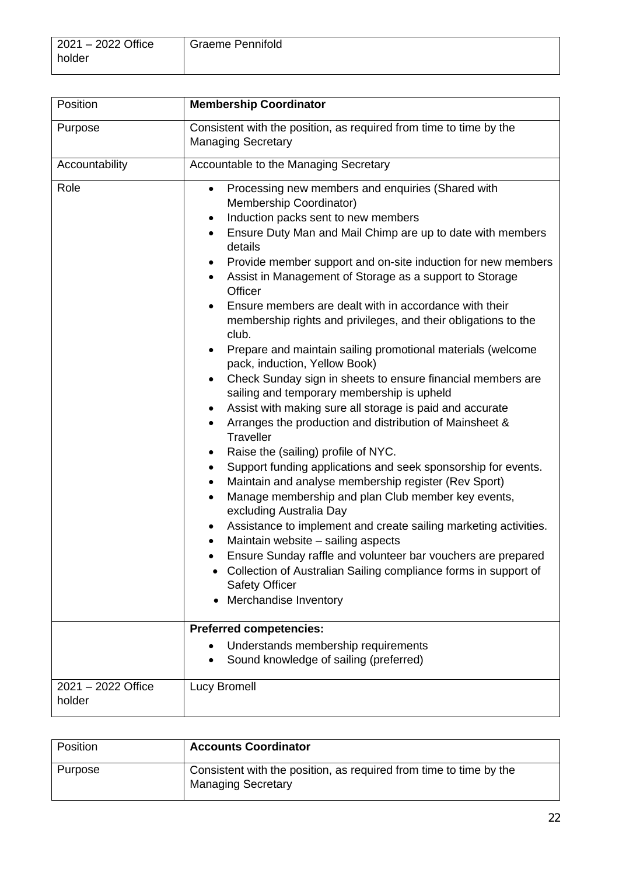| 2021 - 2022 Office | <b>Graeme Pennifold</b> |
|--------------------|-------------------------|
| holder             |                         |

| Position                     | <b>Membership Coordinator</b>                                                                                                                                                                                                                                                                                                                                                                                                                                                                                                                                                                                                                                                                                                                                                                                                                                                                                                                                                                                                                                                                                                                                                                                                                                                                                                                                                                                                                                                                                                                                                    |
|------------------------------|----------------------------------------------------------------------------------------------------------------------------------------------------------------------------------------------------------------------------------------------------------------------------------------------------------------------------------------------------------------------------------------------------------------------------------------------------------------------------------------------------------------------------------------------------------------------------------------------------------------------------------------------------------------------------------------------------------------------------------------------------------------------------------------------------------------------------------------------------------------------------------------------------------------------------------------------------------------------------------------------------------------------------------------------------------------------------------------------------------------------------------------------------------------------------------------------------------------------------------------------------------------------------------------------------------------------------------------------------------------------------------------------------------------------------------------------------------------------------------------------------------------------------------------------------------------------------------|
| Purpose                      | Consistent with the position, as required from time to time by the<br><b>Managing Secretary</b>                                                                                                                                                                                                                                                                                                                                                                                                                                                                                                                                                                                                                                                                                                                                                                                                                                                                                                                                                                                                                                                                                                                                                                                                                                                                                                                                                                                                                                                                                  |
| Accountability               | Accountable to the Managing Secretary                                                                                                                                                                                                                                                                                                                                                                                                                                                                                                                                                                                                                                                                                                                                                                                                                                                                                                                                                                                                                                                                                                                                                                                                                                                                                                                                                                                                                                                                                                                                            |
| Role                         | Processing new members and enquiries (Shared with<br>Membership Coordinator)<br>Induction packs sent to new members<br>$\bullet$<br>Ensure Duty Man and Mail Chimp are up to date with members<br>$\bullet$<br>details<br>Provide member support and on-site induction for new members<br>٠<br>Assist in Management of Storage as a support to Storage<br>Officer<br>Ensure members are dealt with in accordance with their<br>membership rights and privileges, and their obligations to the<br>club.<br>Prepare and maintain sailing promotional materials (welcome<br>pack, induction, Yellow Book)<br>Check Sunday sign in sheets to ensure financial members are<br>$\bullet$<br>sailing and temporary membership is upheld<br>Assist with making sure all storage is paid and accurate<br>٠<br>Arranges the production and distribution of Mainsheet &<br>Traveller<br>Raise the (sailing) profile of NYC.<br>Support funding applications and seek sponsorship for events.<br>٠<br>Maintain and analyse membership register (Rev Sport)<br>$\bullet$<br>Manage membership and plan Club member key events,<br>$\bullet$<br>excluding Australia Day<br>Assistance to implement and create sailing marketing activities.<br>٠<br>Maintain website - sailing aspects<br>Ensure Sunday raffle and volunteer bar vouchers are prepared<br>Collection of Australian Sailing compliance forms in support of<br><b>Safety Officer</b><br>Merchandise Inventory<br><b>Preferred competencies:</b><br>Understands membership requirements<br>Sound knowledge of sailing (preferred) |
| 2021 - 2022 Office<br>holder | <b>Lucy Bromell</b>                                                                                                                                                                                                                                                                                                                                                                                                                                                                                                                                                                                                                                                                                                                                                                                                                                                                                                                                                                                                                                                                                                                                                                                                                                                                                                                                                                                                                                                                                                                                                              |

| Position | <b>Accounts Coordinator</b>                                                                     |
|----------|-------------------------------------------------------------------------------------------------|
| Purpose  | Consistent with the position, as required from time to time by the<br><b>Managing Secretary</b> |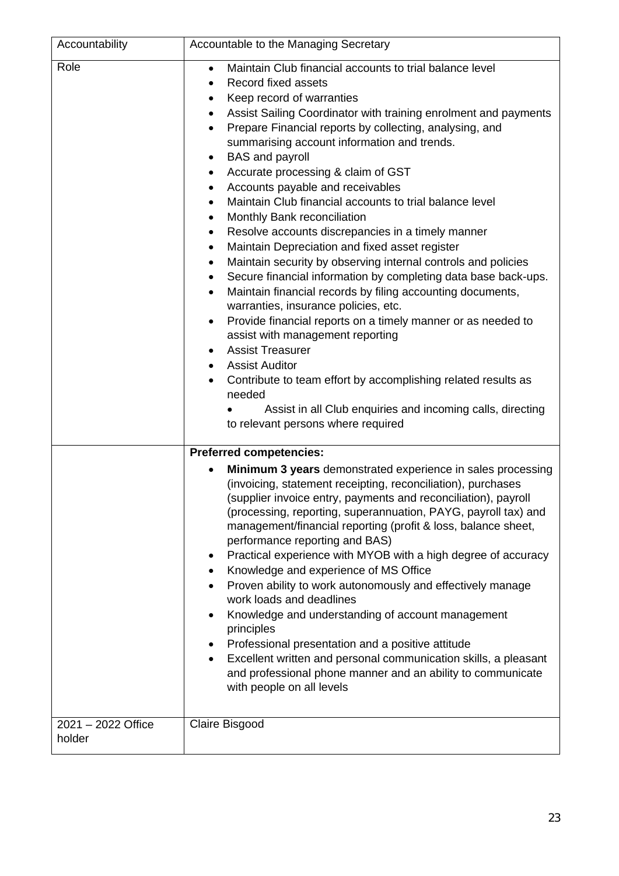| Accountability               | Accountable to the Managing Secretary                                                                                                                                                                                                                                                                                                                                                                                                                                                                                                                                                                                                                                                                                                                                                                                                                                                                                                                                                                                                                                                                                                                                                                                                                                                                     |
|------------------------------|-----------------------------------------------------------------------------------------------------------------------------------------------------------------------------------------------------------------------------------------------------------------------------------------------------------------------------------------------------------------------------------------------------------------------------------------------------------------------------------------------------------------------------------------------------------------------------------------------------------------------------------------------------------------------------------------------------------------------------------------------------------------------------------------------------------------------------------------------------------------------------------------------------------------------------------------------------------------------------------------------------------------------------------------------------------------------------------------------------------------------------------------------------------------------------------------------------------------------------------------------------------------------------------------------------------|
| Role                         | Maintain Club financial accounts to trial balance level<br>$\bullet$<br>Record fixed assets<br>Keep record of warranties<br>٠<br>Assist Sailing Coordinator with training enrolment and payments<br>Prepare Financial reports by collecting, analysing, and<br>summarising account information and trends.<br><b>BAS</b> and payroll<br>$\bullet$<br>Accurate processing & claim of GST<br>٠<br>Accounts payable and receivables<br>$\bullet$<br>Maintain Club financial accounts to trial balance level<br>$\bullet$<br>Monthly Bank reconciliation<br>Resolve accounts discrepancies in a timely manner<br>٠<br>Maintain Depreciation and fixed asset register<br>٠<br>Maintain security by observing internal controls and policies<br>$\bullet$<br>Secure financial information by completing data base back-ups.<br>$\bullet$<br>Maintain financial records by filing accounting documents,<br>$\bullet$<br>warranties, insurance policies, etc.<br>Provide financial reports on a timely manner or as needed to<br>assist with management reporting<br><b>Assist Treasurer</b><br><b>Assist Auditor</b><br>$\bullet$<br>Contribute to team effort by accomplishing related results as<br>needed<br>Assist in all Club enquiries and incoming calls, directing<br>to relevant persons where required |
|                              | <b>Preferred competencies:</b>                                                                                                                                                                                                                                                                                                                                                                                                                                                                                                                                                                                                                                                                                                                                                                                                                                                                                                                                                                                                                                                                                                                                                                                                                                                                            |
|                              | Minimum 3 years demonstrated experience in sales processing<br>(invoicing, statement receipting, reconciliation), purchases<br>(supplier invoice entry, payments and reconciliation), payroll<br>(processing, reporting, superannuation, PAYG, payroll tax) and<br>management/financial reporting (profit & loss, balance sheet,<br>performance reporting and BAS)<br>Practical experience with MYOB with a high degree of accuracy<br>٠<br>Knowledge and experience of MS Office<br>٠<br>Proven ability to work autonomously and effectively manage<br>work loads and deadlines<br>Knowledge and understanding of account management<br>٠<br>principles<br>Professional presentation and a positive attitude<br>Excellent written and personal communication skills, a pleasant<br>and professional phone manner and an ability to communicate<br>with people on all levels                                                                                                                                                                                                                                                                                                                                                                                                                              |
| 2021 - 2022 Office<br>holder | Claire Bisgood                                                                                                                                                                                                                                                                                                                                                                                                                                                                                                                                                                                                                                                                                                                                                                                                                                                                                                                                                                                                                                                                                                                                                                                                                                                                                            |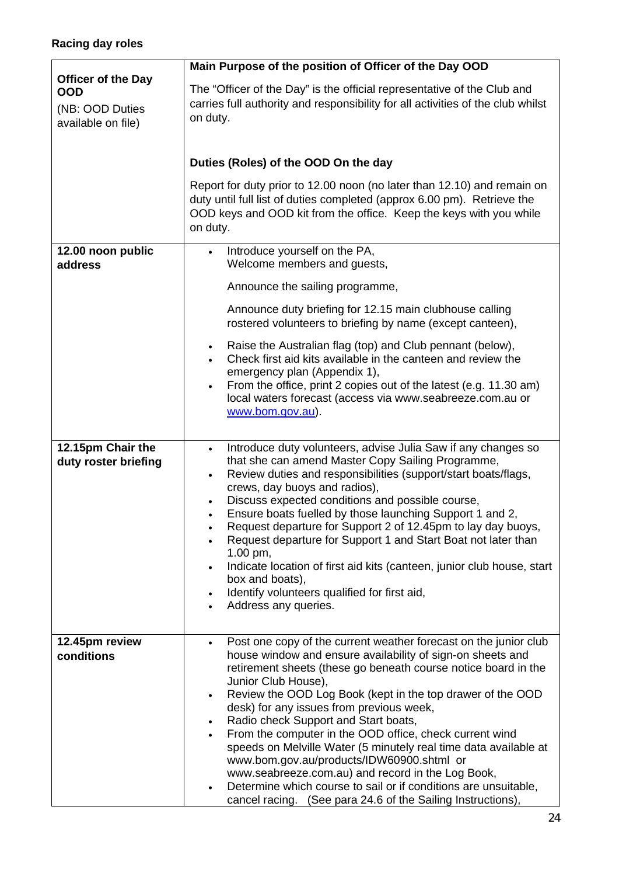| <b>Officer of the Day</b><br><b>OOD</b><br>(NB: OOD Duties<br>available on file) | Main Purpose of the position of Officer of the Day OOD                                                                                                                                                                                                                                                                                                                                                                                                                                                                                                                                                                                                                                                                                                                                           |
|----------------------------------------------------------------------------------|--------------------------------------------------------------------------------------------------------------------------------------------------------------------------------------------------------------------------------------------------------------------------------------------------------------------------------------------------------------------------------------------------------------------------------------------------------------------------------------------------------------------------------------------------------------------------------------------------------------------------------------------------------------------------------------------------------------------------------------------------------------------------------------------------|
|                                                                                  | The "Officer of the Day" is the official representative of the Club and<br>carries full authority and responsibility for all activities of the club whilst<br>on duty.                                                                                                                                                                                                                                                                                                                                                                                                                                                                                                                                                                                                                           |
|                                                                                  | Duties (Roles) of the OOD On the day                                                                                                                                                                                                                                                                                                                                                                                                                                                                                                                                                                                                                                                                                                                                                             |
|                                                                                  | Report for duty prior to 12.00 noon (no later than 12.10) and remain on<br>duty until full list of duties completed (approx 6.00 pm). Retrieve the<br>OOD keys and OOD kit from the office. Keep the keys with you while<br>on duty.                                                                                                                                                                                                                                                                                                                                                                                                                                                                                                                                                             |
| 12.00 noon public<br>address                                                     | Introduce yourself on the PA,<br>$\bullet$<br>Welcome members and guests,                                                                                                                                                                                                                                                                                                                                                                                                                                                                                                                                                                                                                                                                                                                        |
|                                                                                  | Announce the sailing programme,                                                                                                                                                                                                                                                                                                                                                                                                                                                                                                                                                                                                                                                                                                                                                                  |
|                                                                                  | Announce duty briefing for 12.15 main clubhouse calling<br>rostered volunteers to briefing by name (except canteen),                                                                                                                                                                                                                                                                                                                                                                                                                                                                                                                                                                                                                                                                             |
|                                                                                  | Raise the Australian flag (top) and Club pennant (below),<br>$\bullet$<br>Check first aid kits available in the canteen and review the<br>emergency plan (Appendix 1),<br>From the office, print 2 copies out of the latest (e.g. 11.30 am)<br>$\bullet$<br>local waters forecast (access via www.seabreeze.com.au or<br>www.bom.gov.au).                                                                                                                                                                                                                                                                                                                                                                                                                                                        |
| 12.15pm Chair the<br>duty roster briefing                                        | Introduce duty volunteers, advise Julia Saw if any changes so<br>$\bullet$<br>that she can amend Master Copy Sailing Programme,<br>Review duties and responsibilities (support/start boats/flags,<br>$\bullet$<br>crews, day buoys and radios),<br>Discuss expected conditions and possible course,<br>$\bullet$<br>Ensure boats fuelled by those launching Support 1 and 2,<br>Request departure for Support 2 of 12.45pm to lay day buoys,<br>Request departure for Support 1 and Start Boat not later than<br>1.00 pm,<br>Indicate location of first aid kits (canteen, junior club house, start<br>$\bullet$<br>box and boats),<br>Identify volunteers qualified for first aid,<br>$\bullet$<br>Address any queries.<br>$\bullet$                                                            |
| 12.45pm review<br>conditions                                                     | Post one copy of the current weather forecast on the junior club<br>$\bullet$<br>house window and ensure availability of sign-on sheets and<br>retirement sheets (these go beneath course notice board in the<br>Junior Club House),<br>Review the OOD Log Book (kept in the top drawer of the OOD<br>$\bullet$<br>desk) for any issues from previous week,<br>Radio check Support and Start boats,<br>$\bullet$<br>From the computer in the OOD office, check current wind<br>speeds on Melville Water (5 minutely real time data available at<br>www.bom.gov.au/products/IDW60900.shtml or<br>www.seabreeze.com.au) and record in the Log Book,<br>Determine which course to sail or if conditions are unsuitable,<br>$\bullet$<br>cancel racing. (See para 24.6 of the Sailing Instructions), |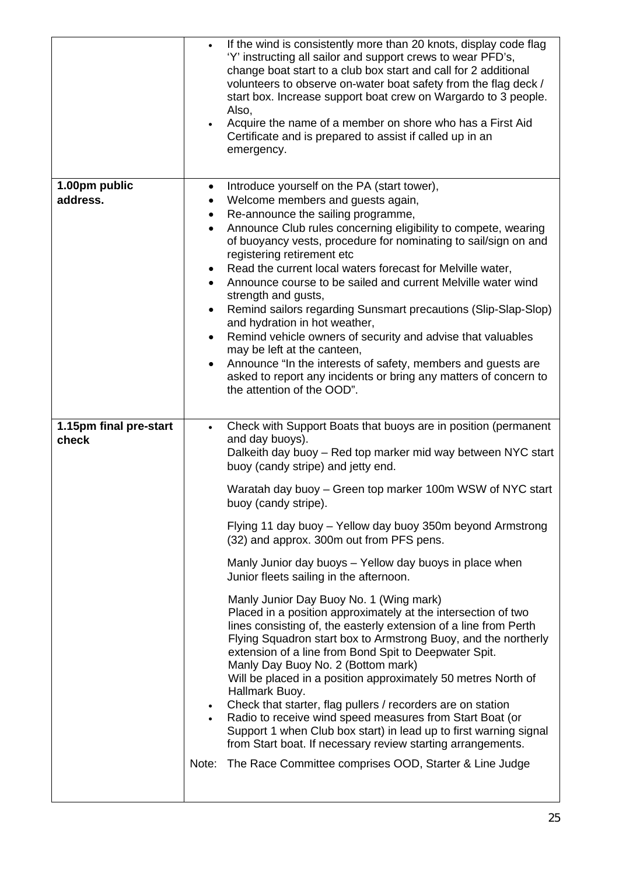|                                 | If the wind is consistently more than 20 knots, display code flag<br>$\bullet$<br>'Y' instructing all sailor and support crews to wear PFD's,<br>change boat start to a club box start and call for 2 additional<br>volunteers to observe on-water boat safety from the flag deck /<br>start box. Increase support boat crew on Wargardo to 3 people.<br>Also,<br>Acquire the name of a member on shore who has a First Aid<br>Certificate and is prepared to assist if called up in an<br>emergency.                                                                                                                                                                                                                                                                                                                                                                                                                                                                                                                                                                                                                                                                                                                                                                                     |
|---------------------------------|-------------------------------------------------------------------------------------------------------------------------------------------------------------------------------------------------------------------------------------------------------------------------------------------------------------------------------------------------------------------------------------------------------------------------------------------------------------------------------------------------------------------------------------------------------------------------------------------------------------------------------------------------------------------------------------------------------------------------------------------------------------------------------------------------------------------------------------------------------------------------------------------------------------------------------------------------------------------------------------------------------------------------------------------------------------------------------------------------------------------------------------------------------------------------------------------------------------------------------------------------------------------------------------------|
| 1.00pm public<br>address.       | Introduce yourself on the PA (start tower),<br>٠<br>Welcome members and guests again,<br>٠<br>Re-announce the sailing programme,<br>$\bullet$<br>Announce Club rules concerning eligibility to compete, wearing<br>$\bullet$<br>of buoyancy vests, procedure for nominating to sail/sign on and<br>registering retirement etc<br>Read the current local waters forecast for Melville water,<br>٠<br>Announce course to be sailed and current Melville water wind<br>strength and gusts,<br>Remind sailors regarding Sunsmart precautions (Slip-Slap-Slop)<br>$\bullet$<br>and hydration in hot weather,<br>Remind vehicle owners of security and advise that valuables<br>$\bullet$<br>may be left at the canteen,<br>Announce "In the interests of safety, members and guests are<br>$\bullet$<br>asked to report any incidents or bring any matters of concern to<br>the attention of the OOD".                                                                                                                                                                                                                                                                                                                                                                                         |
| 1.15pm final pre-start<br>check | Check with Support Boats that buoys are in position (permanent<br>$\bullet$<br>and day buoys).<br>Dalkeith day buoy - Red top marker mid way between NYC start<br>buoy (candy stripe) and jetty end.<br>Waratah day buoy – Green top marker 100m WSW of NYC start<br>buoy (candy stripe).<br>Flying 11 day buoy - Yellow day buoy 350m beyond Armstrong<br>(32) and approx. 300m out from PFS pens.<br>Manly Junior day buoys - Yellow day buoys in place when<br>Junior fleets sailing in the afternoon.<br>Manly Junior Day Buoy No. 1 (Wing mark)<br>Placed in a position approximately at the intersection of two<br>lines consisting of, the easterly extension of a line from Perth<br>Flying Squadron start box to Armstrong Buoy, and the northerly<br>extension of a line from Bond Spit to Deepwater Spit.<br>Manly Day Buoy No. 2 (Bottom mark)<br>Will be placed in a position approximately 50 metres North of<br>Hallmark Buoy.<br>Check that starter, flag pullers / recorders are on station<br>$\bullet$<br>Radio to receive wind speed measures from Start Boat (or<br>Support 1 when Club box start) in lead up to first warning signal<br>from Start boat. If necessary review starting arrangements.<br>Note: The Race Committee comprises OOD, Starter & Line Judge |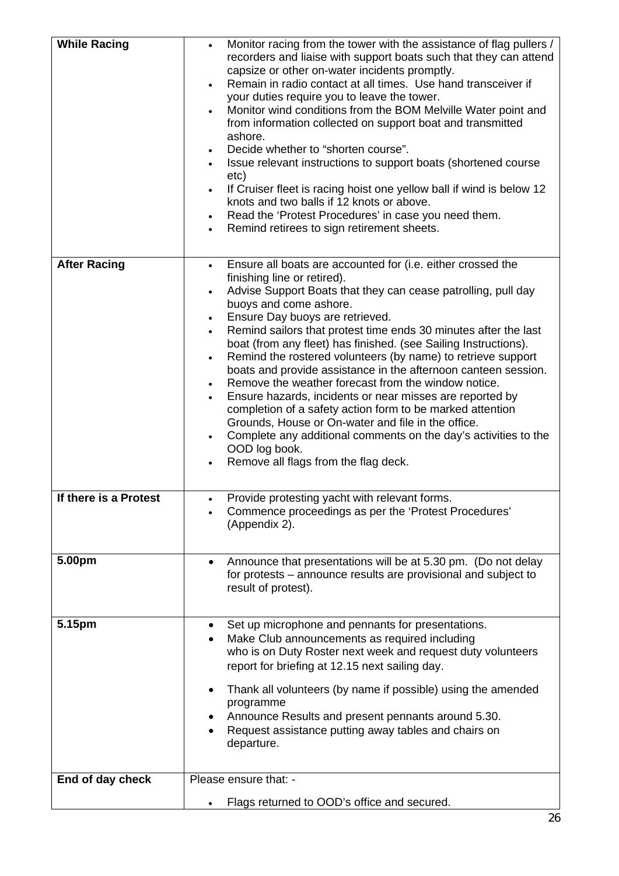| <b>While Racing</b>   | Monitor racing from the tower with the assistance of flag pullers /<br>recorders and liaise with support boats such that they can attend<br>capsize or other on-water incidents promptly.<br>Remain in radio contact at all times. Use hand transceiver if<br>$\bullet$<br>your duties require you to leave the tower.<br>Monitor wind conditions from the BOM Melville Water point and<br>from information collected on support boat and transmitted<br>ashore.<br>Decide whether to "shorten course".<br>$\bullet$<br>Issue relevant instructions to support boats (shortened course<br>etc)<br>If Cruiser fleet is racing hoist one yellow ball if wind is below 12<br>knots and two balls if 12 knots or above.<br>Read the 'Protest Procedures' in case you need them.<br>Remind retirees to sign retirement sheets.                                                                                                           |
|-----------------------|-------------------------------------------------------------------------------------------------------------------------------------------------------------------------------------------------------------------------------------------------------------------------------------------------------------------------------------------------------------------------------------------------------------------------------------------------------------------------------------------------------------------------------------------------------------------------------------------------------------------------------------------------------------------------------------------------------------------------------------------------------------------------------------------------------------------------------------------------------------------------------------------------------------------------------------|
| <b>After Racing</b>   | Ensure all boats are accounted for (i.e. either crossed the<br>$\bullet$<br>finishing line or retired).<br>Advise Support Boats that they can cease patrolling, pull day<br>$\bullet$<br>buoys and come ashore.<br>Ensure Day buoys are retrieved.<br>$\bullet$<br>Remind sailors that protest time ends 30 minutes after the last<br>boat (from any fleet) has finished. (see Sailing Instructions).<br>Remind the rostered volunteers (by name) to retrieve support<br>$\bullet$<br>boats and provide assistance in the afternoon canteen session.<br>Remove the weather forecast from the window notice.<br>Ensure hazards, incidents or near misses are reported by<br>completion of a safety action form to be marked attention<br>Grounds, House or On-water and file in the office.<br>Complete any additional comments on the day's activities to the<br>$\bullet$<br>OOD log book.<br>Remove all flags from the flag deck. |
| If there is a Protest | Provide protesting yacht with relevant forms.<br>Commence proceedings as per the 'Protest Procedures'<br>٠<br>(Appendix 2).                                                                                                                                                                                                                                                                                                                                                                                                                                                                                                                                                                                                                                                                                                                                                                                                         |
| 5.00pm                | Announce that presentations will be at 5.30 pm. (Do not delay<br>$\bullet$<br>for protests – announce results are provisional and subject to<br>result of protest).                                                                                                                                                                                                                                                                                                                                                                                                                                                                                                                                                                                                                                                                                                                                                                 |
| 5.15pm                | Set up microphone and pennants for presentations.<br>٠<br>Make Club announcements as required including<br>who is on Duty Roster next week and request duty volunteers<br>report for briefing at 12.15 next sailing day.<br>Thank all volunteers (by name if possible) using the amended<br>programme<br>Announce Results and present pennants around 5.30.<br>Request assistance putting away tables and chairs on<br>departure.                                                                                                                                                                                                                                                                                                                                                                                                                                                                                                   |
| End of day check      | Please ensure that: -                                                                                                                                                                                                                                                                                                                                                                                                                                                                                                                                                                                                                                                                                                                                                                                                                                                                                                               |
|                       | Flags returned to OOD's office and secured.                                                                                                                                                                                                                                                                                                                                                                                                                                                                                                                                                                                                                                                                                                                                                                                                                                                                                         |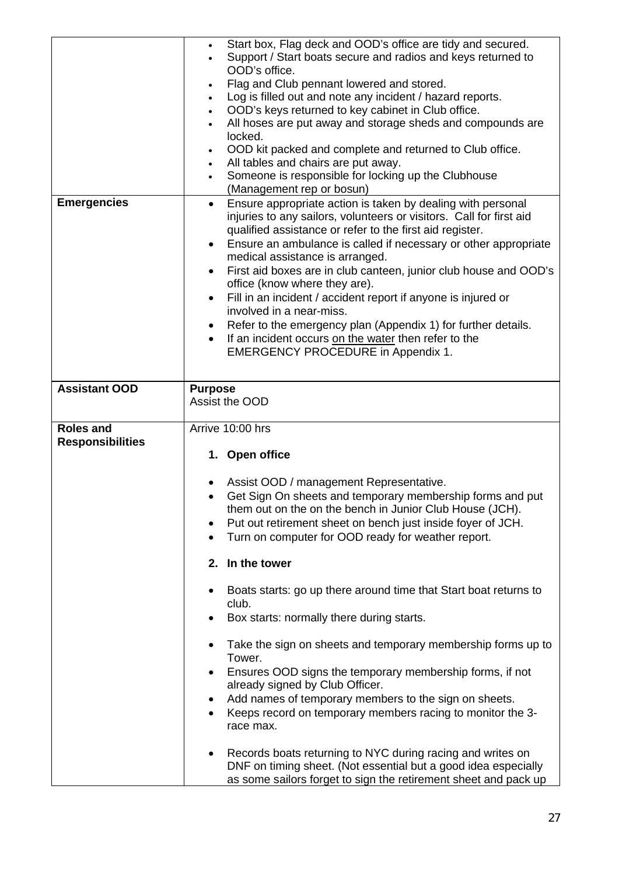| <b>Emergencies</b>                          | Start box, Flag deck and OOD's office are tidy and secured.<br>٠<br>Support / Start boats secure and radios and keys returned to<br>OOD's office.<br>Flag and Club pennant lowered and stored.<br>Log is filled out and note any incident / hazard reports.<br>$\bullet$<br>OOD's keys returned to key cabinet in Club office.<br>$\bullet$<br>All hoses are put away and storage sheds and compounds are<br>$\bullet$<br>locked.<br>OOD kit packed and complete and returned to Club office.<br>$\bullet$<br>All tables and chairs are put away.<br>$\bullet$<br>Someone is responsible for locking up the Clubhouse<br>$\bullet$<br>(Management rep or bosun)<br>Ensure appropriate action is taken by dealing with personal<br>$\bullet$<br>injuries to any sailors, volunteers or visitors. Call for first aid<br>qualified assistance or refer to the first aid register.<br>Ensure an ambulance is called if necessary or other appropriate<br>$\bullet$<br>medical assistance is arranged.<br>First aid boxes are in club canteen, junior club house and OOD's<br>$\bullet$<br>office (know where they are).<br>Fill in an incident / accident report if anyone is injured or<br>$\bullet$<br>involved in a near-miss.<br>Refer to the emergency plan (Appendix 1) for further details.<br>$\bullet$<br>If an incident occurs on the water then refer to the<br><b>EMERGENCY PROCEDURE in Appendix 1.</b> |
|---------------------------------------------|------------------------------------------------------------------------------------------------------------------------------------------------------------------------------------------------------------------------------------------------------------------------------------------------------------------------------------------------------------------------------------------------------------------------------------------------------------------------------------------------------------------------------------------------------------------------------------------------------------------------------------------------------------------------------------------------------------------------------------------------------------------------------------------------------------------------------------------------------------------------------------------------------------------------------------------------------------------------------------------------------------------------------------------------------------------------------------------------------------------------------------------------------------------------------------------------------------------------------------------------------------------------------------------------------------------------------------------------------------------------------------------------------------------|
|                                             |                                                                                                                                                                                                                                                                                                                                                                                                                                                                                                                                                                                                                                                                                                                                                                                                                                                                                                                                                                                                                                                                                                                                                                                                                                                                                                                                                                                                                  |
| <b>Assistant OOD</b>                        | <b>Purpose</b><br>Assist the OOD                                                                                                                                                                                                                                                                                                                                                                                                                                                                                                                                                                                                                                                                                                                                                                                                                                                                                                                                                                                                                                                                                                                                                                                                                                                                                                                                                                                 |
| <b>Roles and</b><br><b>Responsibilities</b> | Arrive 10:00 hrs<br>1. Open office<br>Assist OOD / management Representative.<br>Get Sign On sheets and temporary membership forms and put<br>them out on the on the bench in Junior Club House (JCH).<br>Put out retirement sheet on bench just inside foyer of JCH.<br>Turn on computer for OOD ready for weather report.<br>In the tower<br>2.<br>Boats starts: go up there around time that Start boat returns to<br>club.<br>Box starts: normally there during starts.<br>Take the sign on sheets and temporary membership forms up to<br>٠<br>Tower.<br>Ensures OOD signs the temporary membership forms, if not<br>already signed by Club Officer.<br>Add names of temporary members to the sign on sheets.<br>Keeps record on temporary members racing to monitor the 3-<br>$\bullet$<br>race max.<br>Records boats returning to NYC during racing and writes on<br>٠<br>DNF on timing sheet. (Not essential but a good idea especially<br>as some sailors forget to sign the retirement sheet and pack up                                                                                                                                                                                                                                                                                                                                                                                               |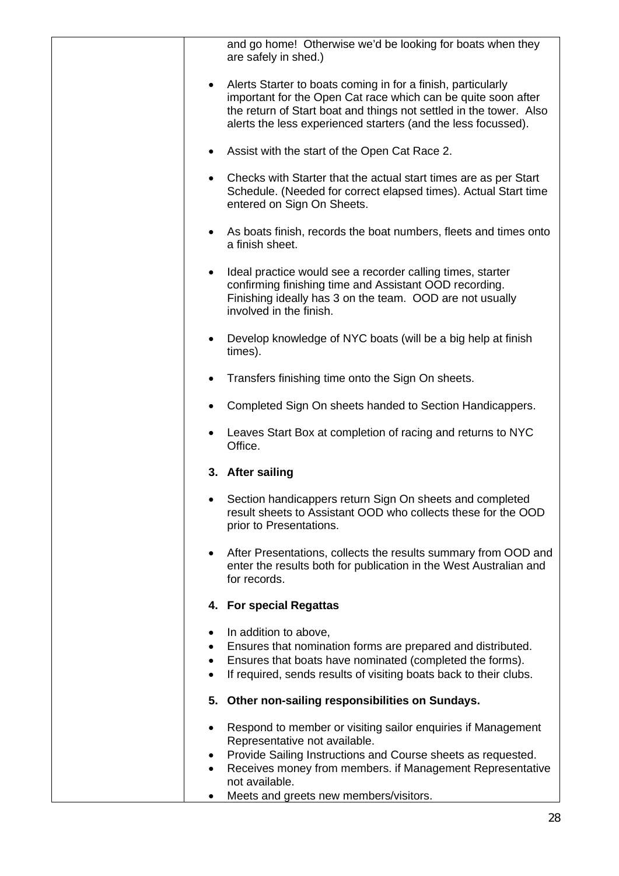| and go home! Otherwise we'd be looking for boats when they<br>are safely in shed.)                                                                                                                                                                                   |
|----------------------------------------------------------------------------------------------------------------------------------------------------------------------------------------------------------------------------------------------------------------------|
| Alerts Starter to boats coming in for a finish, particularly<br>important for the Open Cat race which can be quite soon after<br>the return of Start boat and things not settled in the tower. Also<br>alerts the less experienced starters (and the less focussed). |
| Assist with the start of the Open Cat Race 2.                                                                                                                                                                                                                        |
| Checks with Starter that the actual start times are as per Start<br>Schedule. (Needed for correct elapsed times). Actual Start time<br>entered on Sign On Sheets.                                                                                                    |
| As boats finish, records the boat numbers, fleets and times onto<br>a finish sheet.                                                                                                                                                                                  |
| Ideal practice would see a recorder calling times, starter<br>confirming finishing time and Assistant OOD recording.<br>Finishing ideally has 3 on the team. OOD are not usually<br>involved in the finish.                                                          |
| Develop knowledge of NYC boats (will be a big help at finish<br>$\bullet$<br>times).                                                                                                                                                                                 |
| Transfers finishing time onto the Sign On sheets.                                                                                                                                                                                                                    |
| Completed Sign On sheets handed to Section Handicappers.                                                                                                                                                                                                             |
| Leaves Start Box at completion of racing and returns to NYC<br>Office.                                                                                                                                                                                               |
| 3. After sailing                                                                                                                                                                                                                                                     |
| Section handicappers return Sign On sheets and completed<br>result sheets to Assistant OOD who collects these for the OOD<br>prior to Presentations.                                                                                                                 |
| After Presentations, collects the results summary from OOD and<br>enter the results both for publication in the West Australian and<br>for records.                                                                                                                  |
| 4. For special Regattas                                                                                                                                                                                                                                              |
| In addition to above,<br>٠<br>Ensures that nomination forms are prepared and distributed.<br>Ensures that boats have nominated (completed the forms).<br>If required, sends results of visiting boats back to their clubs.                                           |
| 5. Other non-sailing responsibilities on Sundays.                                                                                                                                                                                                                    |
| Respond to member or visiting sailor enquiries if Management<br>Representative not available.<br>Provide Sailing Instructions and Course sheets as requested.                                                                                                        |
| Receives money from members. if Management Representative<br>not available.                                                                                                                                                                                          |
| Meets and greets new members/visitors.<br>٠                                                                                                                                                                                                                          |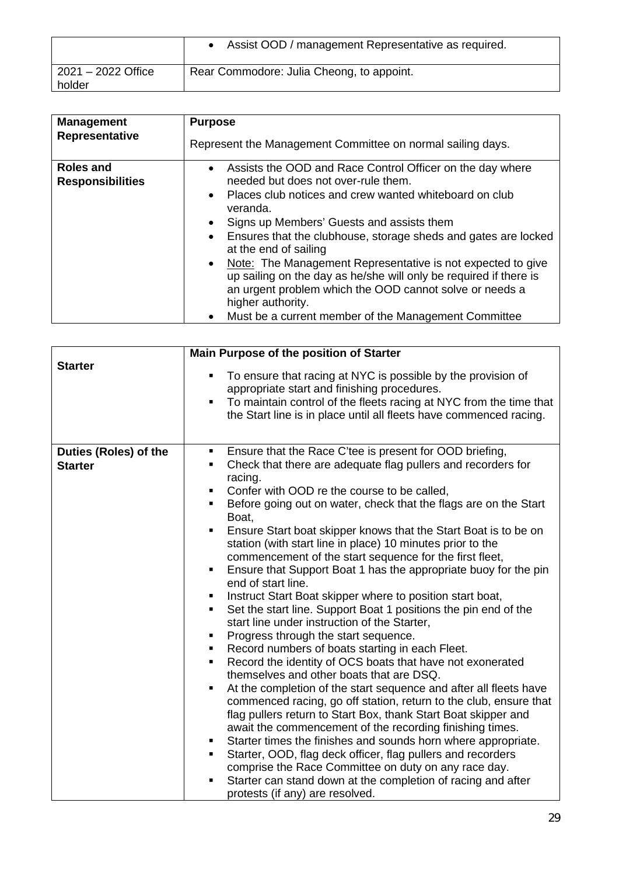|                              | Assist OOD / management Representative as required. |
|------------------------------|-----------------------------------------------------|
| 2021 - 2022 Office<br>holder | Rear Commodore: Julia Cheong, to appoint.           |

| <b>Management</b>                           | <b>Purpose</b>                                                                                                                                                                                                                                                                                                                                                                                                                                                                                                                                                                                                               |
|---------------------------------------------|------------------------------------------------------------------------------------------------------------------------------------------------------------------------------------------------------------------------------------------------------------------------------------------------------------------------------------------------------------------------------------------------------------------------------------------------------------------------------------------------------------------------------------------------------------------------------------------------------------------------------|
| Representative                              | Represent the Management Committee on normal sailing days.                                                                                                                                                                                                                                                                                                                                                                                                                                                                                                                                                                   |
| <b>Roles and</b><br><b>Responsibilities</b> | • Assists the OOD and Race Control Officer on the day where<br>needed but does not over-rule them.<br>• Places club notices and crew wanted whiteboard on club<br>veranda.<br>Signs up Members' Guests and assists them<br>$\bullet$<br>• Ensures that the clubhouse, storage sheds and gates are locked<br>at the end of sailing<br>• Note: The Management Representative is not expected to give<br>up sailing on the day as he/she will only be required if there is<br>an urgent problem which the OOD cannot solve or needs a<br>higher authority.<br>Must be a current member of the Management Committee<br>$\bullet$ |
|                                             |                                                                                                                                                                                                                                                                                                                                                                                                                                                                                                                                                                                                                              |

| <b>Starter</b>                          | Main Purpose of the position of Starter                                                                                                                                                                                                                           |
|-----------------------------------------|-------------------------------------------------------------------------------------------------------------------------------------------------------------------------------------------------------------------------------------------------------------------|
|                                         | To ensure that racing at NYC is possible by the provision of<br>٠<br>appropriate start and finishing procedures.<br>To maintain control of the fleets racing at NYC from the time that<br>٠<br>the Start line is in place until all fleets have commenced racing. |
| Duties (Roles) of the<br><b>Starter</b> | Ensure that the Race C'tee is present for OOD briefing,<br>٠<br>Check that there are adequate flag pullers and recorders for<br>$\blacksquare$                                                                                                                    |
|                                         | racing.                                                                                                                                                                                                                                                           |
|                                         | Confer with OOD re the course to be called,<br>٠                                                                                                                                                                                                                  |
|                                         | Before going out on water, check that the flags are on the Start<br>$\blacksquare$<br>Boat,                                                                                                                                                                       |
|                                         | Ensure Start boat skipper knows that the Start Boat is to be on<br>٠                                                                                                                                                                                              |
|                                         | station (with start line in place) 10 minutes prior to the                                                                                                                                                                                                        |
|                                         | commencement of the start sequence for the first fleet,                                                                                                                                                                                                           |
|                                         | Ensure that Support Boat 1 has the appropriate buoy for the pin<br>٠<br>end of start line.                                                                                                                                                                        |
|                                         | Instruct Start Boat skipper where to position start boat,<br>$\blacksquare$                                                                                                                                                                                       |
|                                         | Set the start line. Support Boat 1 positions the pin end of the<br>٠<br>start line under instruction of the Starter,                                                                                                                                              |
|                                         | Progress through the start sequence.<br>٠                                                                                                                                                                                                                         |
|                                         | Record numbers of boats starting in each Fleet.<br>٠                                                                                                                                                                                                              |
|                                         | Record the identity of OCS boats that have not exonerated<br>٠                                                                                                                                                                                                    |
|                                         | themselves and other boats that are DSQ.                                                                                                                                                                                                                          |
|                                         | At the completion of the start sequence and after all fleets have<br>п<br>commenced racing, go off station, return to the club, ensure that                                                                                                                       |
|                                         | flag pullers return to Start Box, thank Start Boat skipper and                                                                                                                                                                                                    |
|                                         | await the commencement of the recording finishing times.                                                                                                                                                                                                          |
|                                         | Starter times the finishes and sounds horn where appropriate.<br>٠<br>$\blacksquare$                                                                                                                                                                              |
|                                         | Starter, OOD, flag deck officer, flag pullers and recorders<br>comprise the Race Committee on duty on any race day.                                                                                                                                               |
|                                         | Starter can stand down at the completion of racing and after<br>٠                                                                                                                                                                                                 |
|                                         | protests (if any) are resolved.                                                                                                                                                                                                                                   |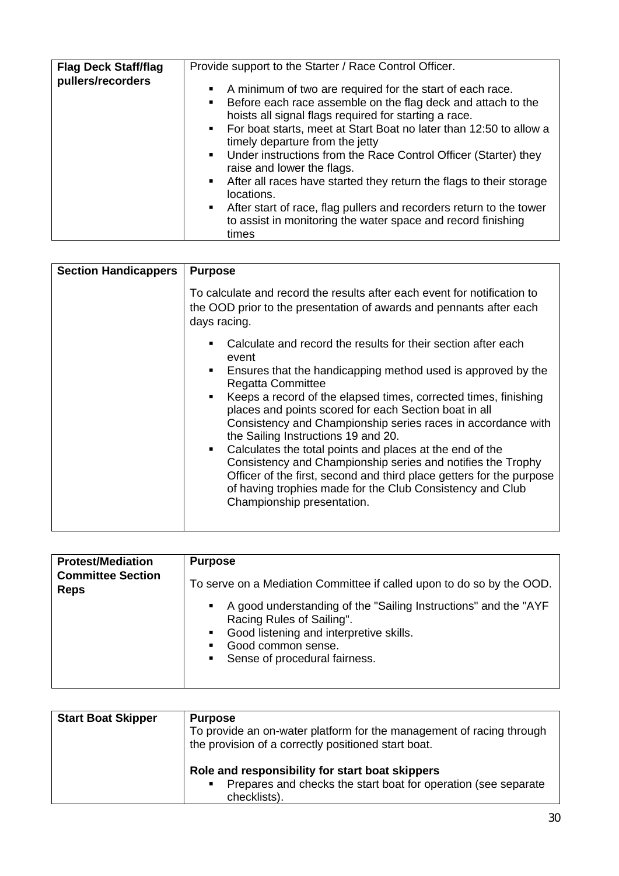| <b>Flag Deck Staff/flag</b> | Provide support to the Starter / Race Control Officer.                                                                                                                                                                                                                                                                                                                                                                                                                                                                                                                                                                                                                        |
|-----------------------------|-------------------------------------------------------------------------------------------------------------------------------------------------------------------------------------------------------------------------------------------------------------------------------------------------------------------------------------------------------------------------------------------------------------------------------------------------------------------------------------------------------------------------------------------------------------------------------------------------------------------------------------------------------------------------------|
| pullers/recorders           | A minimum of two are required for the start of each race.<br>$\blacksquare$<br>Before each race assemble on the flag deck and attach to the<br>$\blacksquare$<br>hoists all signal flags required for starting a race.<br>• For boat starts, meet at Start Boat no later than 12:50 to allow a<br>timely departure from the jetty<br>• Under instructions from the Race Control Officer (Starter) they<br>raise and lower the flags.<br>• After all races have started they return the flags to their storage<br>locations.<br>• After start of race, flag pullers and recorders return to the tower<br>to assist in monitoring the water space and record finishing<br>times |

| <b>Section Handicappers</b> | <b>Purpose</b>                                                                                                                                                                                                                                                                                                                                                                                                                                                                                                                                                                                                                                                                                                                                       |
|-----------------------------|------------------------------------------------------------------------------------------------------------------------------------------------------------------------------------------------------------------------------------------------------------------------------------------------------------------------------------------------------------------------------------------------------------------------------------------------------------------------------------------------------------------------------------------------------------------------------------------------------------------------------------------------------------------------------------------------------------------------------------------------------|
|                             | To calculate and record the results after each event for notification to<br>the OOD prior to the presentation of awards and pennants after each<br>days racing.                                                                                                                                                                                                                                                                                                                                                                                                                                                                                                                                                                                      |
|                             | Calculate and record the results for their section after each<br>event<br>Ensures that the handicapping method used is approved by the<br>$\mathbf{m}$ , $\mathbf{m}$<br><b>Regatta Committee</b><br>■ Keeps a record of the elapsed times, corrected times, finishing<br>places and points scored for each Section boat in all<br>Consistency and Championship series races in accordance with<br>the Sailing Instructions 19 and 20.<br>Calculates the total points and places at the end of the<br>$\mathbf{r}$<br>Consistency and Championship series and notifies the Trophy<br>Officer of the first, second and third place getters for the purpose<br>of having trophies made for the Club Consistency and Club<br>Championship presentation. |

| <b>Protest/Mediation</b>                | <b>Purpose</b>                                                                                                                                                                                             |
|-----------------------------------------|------------------------------------------------------------------------------------------------------------------------------------------------------------------------------------------------------------|
| <b>Committee Section</b><br><b>Reps</b> | To serve on a Mediation Committee if called upon to do so by the OOD.                                                                                                                                      |
|                                         | • A good understanding of the "Sailing Instructions" and the "AYF<br>Racing Rules of Sailing".<br>• Good listening and interpretive skills.<br>Good common sense.<br>п.<br>• Sense of procedural fairness. |

| <b>Start Boat Skipper</b> | <b>Purpose</b><br>To provide an on-water platform for the management of racing through<br>the provision of a correctly positioned start boat. |
|---------------------------|-----------------------------------------------------------------------------------------------------------------------------------------------|
|                           | Role and responsibility for start boat skippers<br>Prepares and checks the start boat for operation (see separate<br>٠<br>checklists).        |